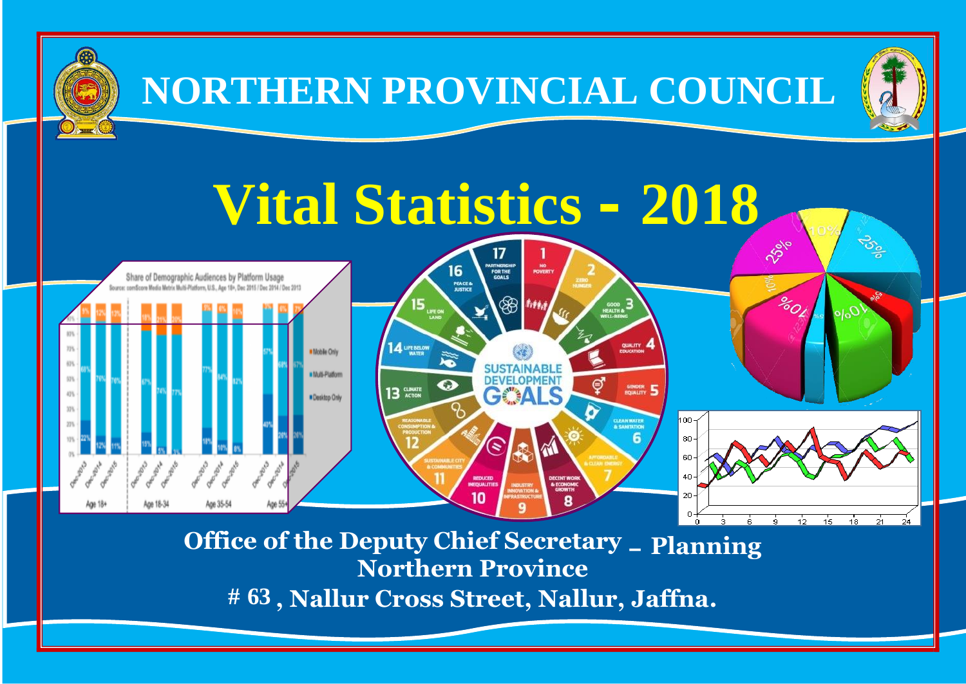

**# 63 , Nallur Cross Street, Nallur, Jaffna.**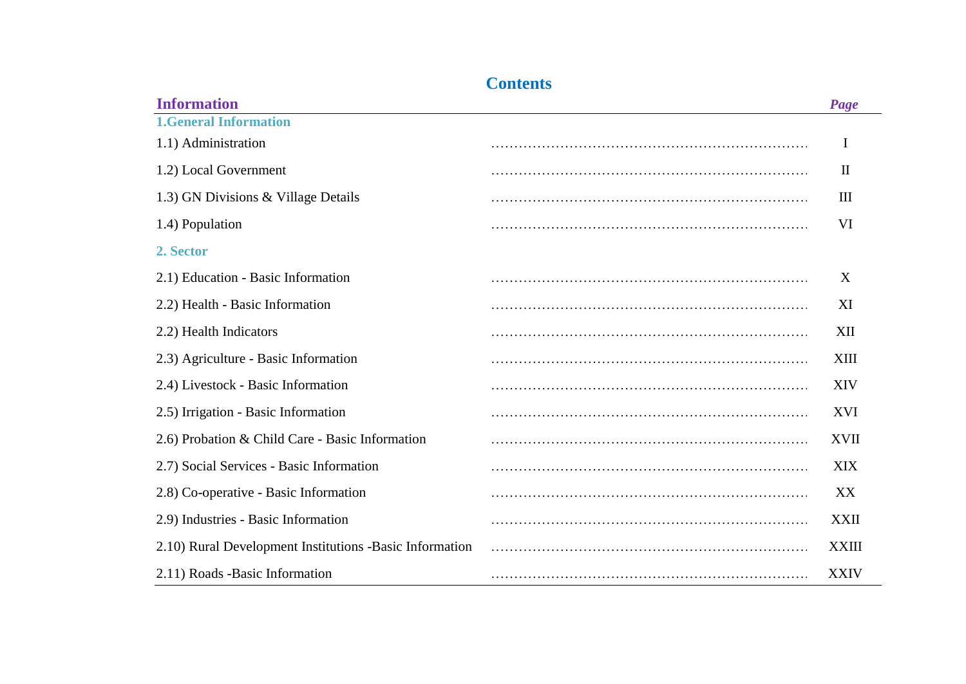### **Contents**

| <b>Information</b>                                      | Page         |
|---------------------------------------------------------|--------------|
| <b>1.General Information</b>                            |              |
| 1.1) Administration                                     | I            |
| 1.2) Local Government                                   | $\mathbf{I}$ |
| 1.3) GN Divisions & Village Details                     | Ш            |
| 1.4) Population                                         | VI           |
| 2. Sector                                               |              |
| 2.1) Education - Basic Information                      | X            |
| 2.2) Health - Basic Information                         | XI           |
| 2.2) Health Indicators                                  | XII          |
| 2.3) Agriculture - Basic Information                    | XIII         |
| 2.4) Livestock - Basic Information                      | <b>XIV</b>   |
| 2.5) Irrigation - Basic Information                     | XVI          |
| 2.6) Probation & Child Care - Basic Information         | XVII         |
| 2.7) Social Services - Basic Information                | XIX          |
| 2.8) Co-operative - Basic Information                   | XX           |
| 2.9) Industries - Basic Information                     | XXII         |
| 2.10) Rural Development Institutions -Basic Information | XXIII        |
| 2.11) Roads -Basic Information                          | <b>XXIV</b>  |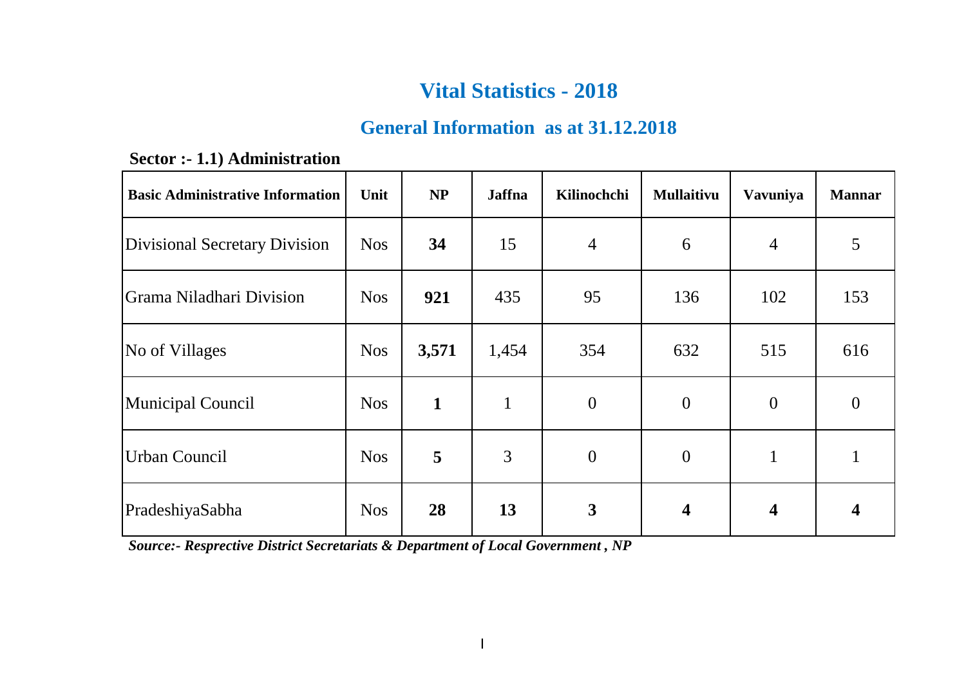### **General Information as at 31.12.2018**

| <b>Basic Administrative Information</b> | Unit       | NP           | <b>Jaffna</b> | Kilinochchi      | Mullaitivu              | Vavuniya       | <b>Mannar</b>  |
|-----------------------------------------|------------|--------------|---------------|------------------|-------------------------|----------------|----------------|
| Divisional Secretary Division           | <b>Nos</b> | 34           | 15            | $\overline{4}$   | 6                       | $\overline{4}$ | 5              |
| Grama Niladhari Division                | <b>Nos</b> | 921          | 435           | 95               | 136                     | 102            | 153            |
| No of Villages                          | <b>Nos</b> | 3,571        | 1,454         | 354              | 632                     | 515            | 616            |
| Municipal Council                       | <b>Nos</b> | $\mathbf{1}$ | $\mathbf{1}$  | $\boldsymbol{0}$ | $\theta$                | $\overline{0}$ | $\overline{0}$ |
| <b>Urban Council</b>                    | <b>Nos</b> | 5            | 3             | $\overline{0}$   | $\theta$                | 1              |                |
| PradeshiyaSabha                         | <b>Nos</b> | 28           | 13            | $\mathbf{3}$     | $\overline{\mathbf{4}}$ | 4              |                |

 **Sector :- 1.1) Administration**

 *Source:- Resprective District Secretariats & Department of Local Government , NP*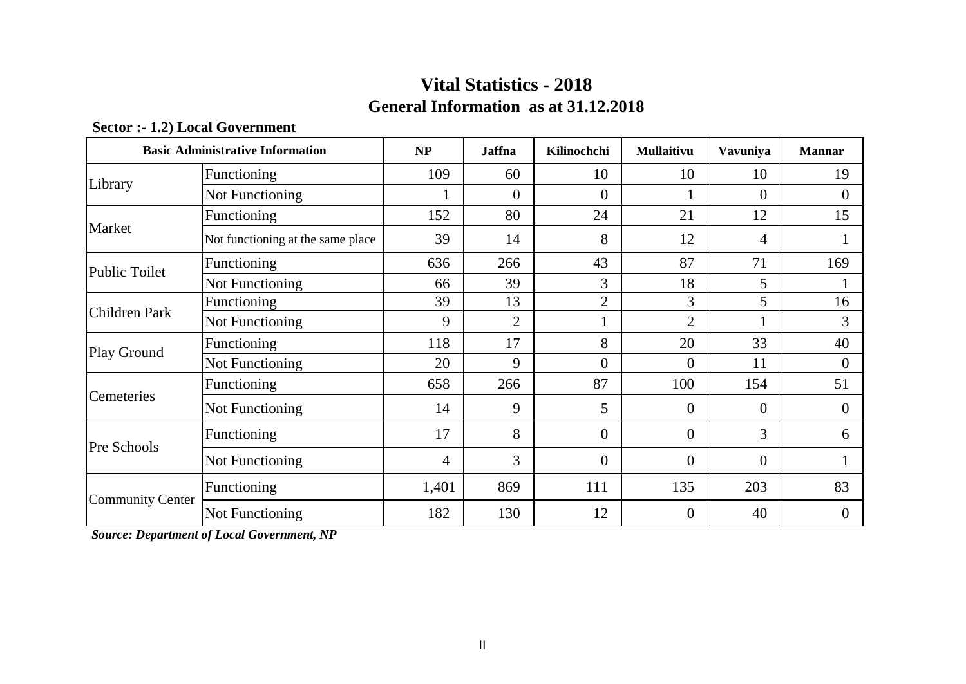### **General Information as at 31.12.2018 Vital Statistics - 2018**

| <b>Basic Administrative Information</b> |                                   | NP    | <b>Jaffna</b>  | Kilinochchi    | <b>Mullaitivu</b> | Vavuniya       | <b>Mannar</b> |
|-----------------------------------------|-----------------------------------|-------|----------------|----------------|-------------------|----------------|---------------|
| Library                                 | Functioning                       | 109   | 60             | 10             | 10                | 10             | 19            |
|                                         | Not Functioning                   |       | $\Omega$       | $\theta$       |                   | $\Omega$       | $\Omega$      |
|                                         | Functioning                       | 152   | 80             | 24             | 21                | 12             | 15            |
| Market                                  | Not functioning at the same place | 39    | 14             | 8              | 12                | 4              |               |
| <b>Public Toilet</b>                    | Functioning                       | 636   | 266            | 43             | 87                | 71             | 169           |
|                                         | Not Functioning                   | 66    | 39             | 3              | 18                | 5              |               |
|                                         | <b>Functioning</b>                | 39    | 13             | $\overline{2}$ | 3                 | 5              | 16            |
| Children Park                           | Not Functioning                   | 9     | $\overline{2}$ | 1              | 2                 |                | 3             |
| Play Ground                             | Functioning                       | 118   | 17             | 8              | 20                | 33             | 40            |
|                                         | Not Functioning                   | 20    | 9              | $\overline{0}$ | $\theta$          | 11             | $\Omega$      |
| Cemeteries                              | Functioning                       | 658   | 266            | 87             | 100               | 154            | 51            |
|                                         | Not Functioning                   | 14    | 9              | 5              | $\overline{0}$    | $\overline{0}$ | $\Omega$      |
| Pre Schools                             | Functioning                       | 17    | 8              | $\theta$       | $\boldsymbol{0}$  | 3              | 6             |
|                                         | Not Functioning                   | 4     | 3              | $\Omega$       | $\Omega$          | $\Omega$       |               |
|                                         | Functioning                       | 1,401 | 869            | 111            | 135               | 203            | 83            |
| <b>Community Center</b>                 | Not Functioning                   | 182   | 130            | 12             | $\overline{0}$    | 40             | $\theta$      |

#### **Sector :- 1.2) Local Government**

 *Source: Department of Local Government, NP*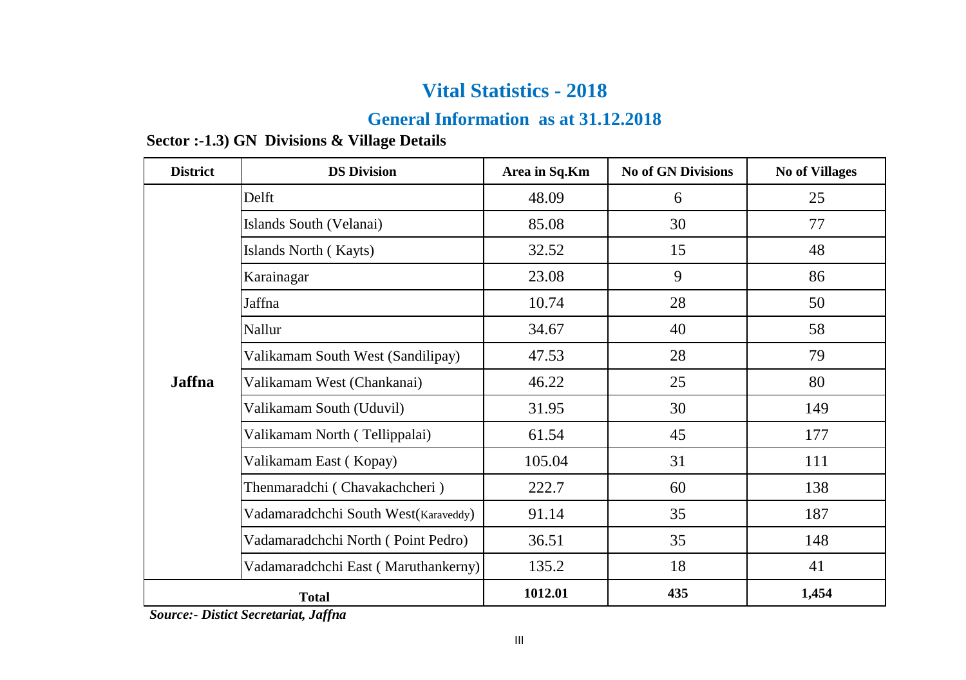### **General Information as at 31.12.2018**

#### **Sector :-1.3) GN Divisions & Village Details**

| <b>District</b> | <b>DS Division</b>                   | Area in Sq.Km | <b>No of GN Divisions</b> | <b>No of Villages</b> |  |
|-----------------|--------------------------------------|---------------|---------------------------|-----------------------|--|
|                 | Delft                                | 48.09         | 6                         | 25                    |  |
|                 | Islands South (Velanai)              | 85.08         | 30                        | 77                    |  |
|                 | Islands North (Kayts)                | 32.52         | 15                        | 48                    |  |
|                 | Karainagar                           | 23.08         | 9                         | 86                    |  |
|                 | Jaffna                               | 10.74         | 28                        | 50                    |  |
|                 | Nallur                               | 34.67         | 40                        | 58                    |  |
|                 | Valikamam South West (Sandilipay)    | 47.53         | 28                        | 79                    |  |
| <b>Jaffna</b>   | Valikamam West (Chankanai)           | 46.22         | 25                        | 80                    |  |
|                 | Valikamam South (Uduvil)             | 31.95         | 30                        |                       |  |
|                 | Valikamam North (Tellippalai)        | 61.54         | 45                        | 177                   |  |
|                 | Valikamam East (Kopay)               | 105.04        | 31                        | 111                   |  |
|                 | Thenmaradchi (Chavakachcheri)        | 222.7         | 60                        | 138                   |  |
|                 | Vadamaradchchi South West(Karaveddy) | 91.14         | 35                        | 187                   |  |
|                 | Vadamaradchchi North (Point Pedro)   | 36.51         | 35                        | 148                   |  |
|                 | Vadamaradchchi East (Maruthankerny)  | 135.2         | 18                        | 41                    |  |
|                 | <b>Total</b>                         | 1012.01       | 435                       | 1,454                 |  |

 *Source:- Distict Secretariat, Jaffna*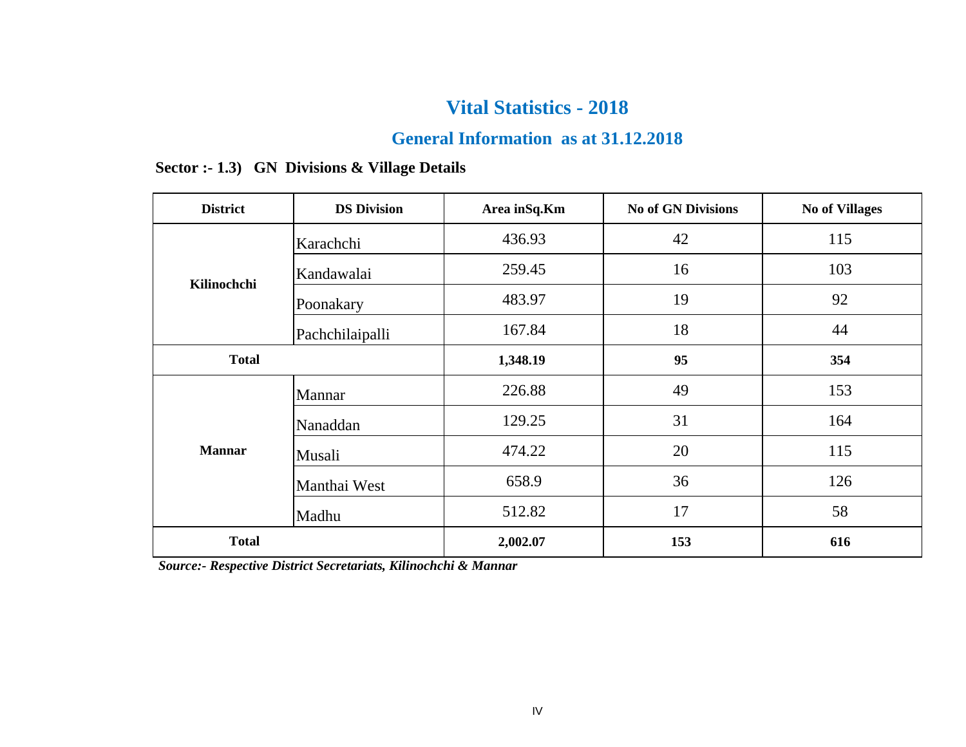### **General Information as at 31.12.2018**

| <b>District</b> | <b>DS Division</b> | Area in Sq. Km | <b>No of GN Divisions</b> | <b>No of Villages</b> |
|-----------------|--------------------|----------------|---------------------------|-----------------------|
|                 | Karachchi          | 436.93         | 42                        | 115                   |
| Kilinochchi     | Kandawalai         | 259.45         | 16                        | 103                   |
|                 | Poonakary          | 483.97         | 19                        | 92                    |
|                 | Pachchilaipalli    | 167.84         | 18                        | 44                    |
| <b>Total</b>    |                    | 1,348.19       | 95                        | 354                   |
|                 | Mannar             | 226.88         | 49                        | 153                   |
|                 | Nanaddan           | 129.25         | 31                        | 164                   |
| <b>Mannar</b>   | Musali             | 474.22         | 20                        | 115                   |
|                 | Manthai West       | 658.9          | 36                        | 126                   |
|                 | Madhu              | 512.82         | 17                        | 58                    |
| <b>Total</b>    |                    | 2,002.07       | 153                       | 616                   |

### **Sector :- 1.3) GN Divisions & Village Details**

 *Source:- Respective District Secretariats, Kilinochchi & Mannar*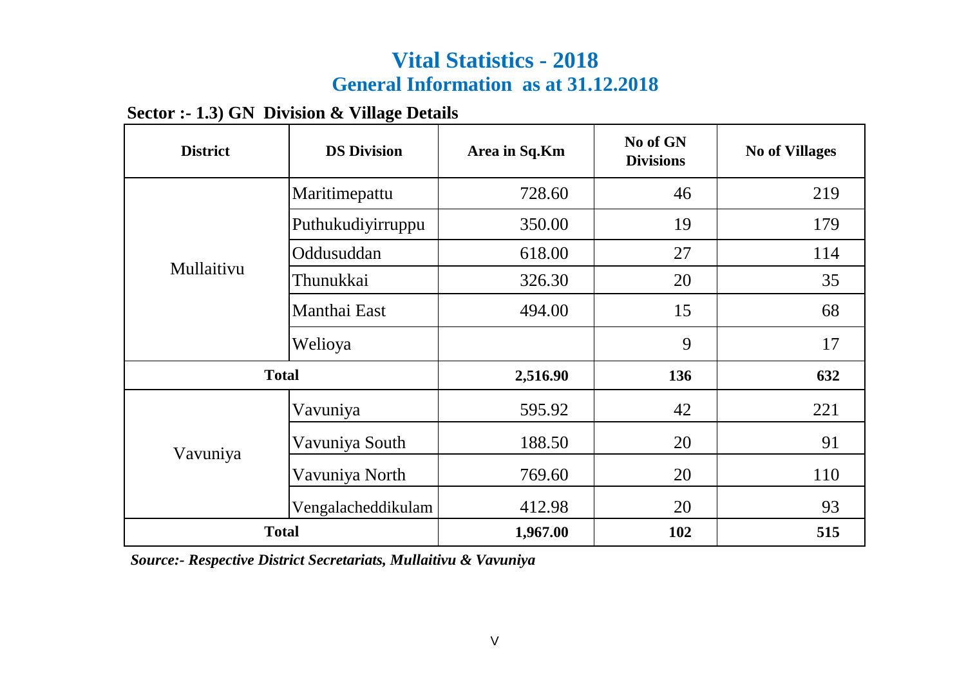# **Vital Statistics - 2018 General Information as at 31.12.2018**

### **Sector :- 1.3) GN Division & Village Details**

| <b>District</b> | <b>DS Division</b> | Area in Sq.Km | No of GN<br><b>Divisions</b> | <b>No of Villages</b> |
|-----------------|--------------------|---------------|------------------------------|-----------------------|
|                 | Maritimepattu      | 728.60        | 46                           | 219                   |
|                 | Puthukudiyirruppu  | 350.00        | 19                           | 179                   |
|                 | Oddusuddan         | 618.00        | 27                           | 114                   |
| Mullaitivu      | Thunukkai          | 326.30        | 20                           | 35                    |
|                 | Manthai East       | 494.00        | 15                           | 68                    |
|                 | Welioya            |               | 9                            | 17                    |
| <b>Total</b>    |                    | 2,516.90      | 136                          | 632                   |
|                 | Vavuniya           | 595.92        | 42                           | 221                   |
| Vavuniya        | Vavuniya South     | 188.50        | 20                           | 91                    |
|                 | Vavuniya North     | 769.60        | 20                           | 110                   |
|                 | Vengalacheddikulam | 412.98        | 20                           | 93                    |
| <b>Total</b>    |                    | 1,967.00      | 102                          | 515                   |

 *Source:- Respective District Secretariats, Mullaitivu & Vavuniya*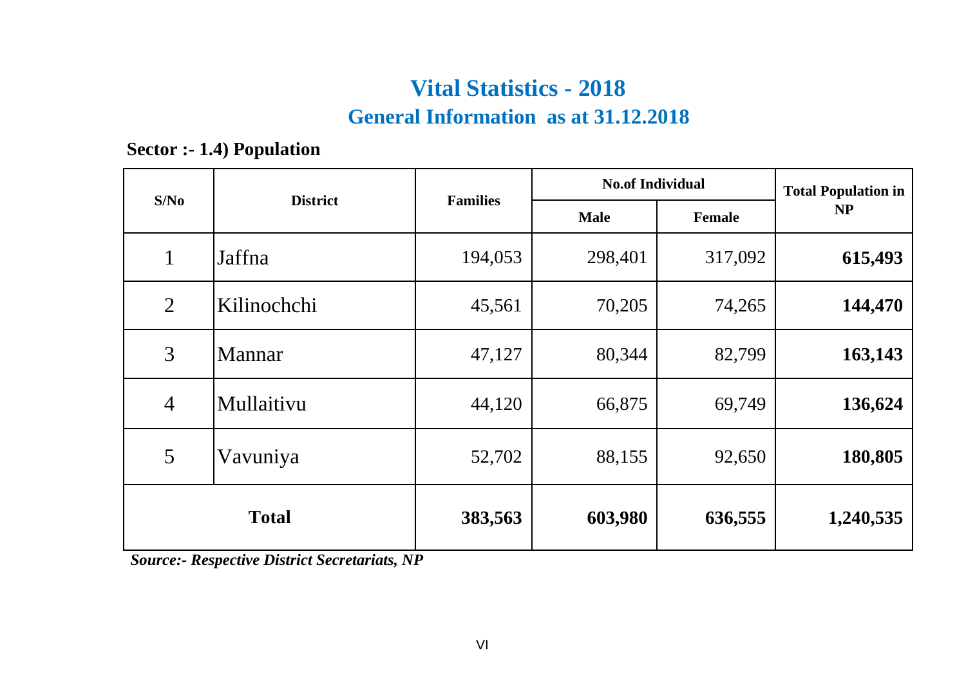# **General Information as at 31.12.2018 Vital Statistics - 2018**

**Sector :- 1.4) Population**

| S/No           | <b>District</b> | <b>Families</b> | <b>No.of Individual</b> | <b>Total Population in</b> |           |
|----------------|-----------------|-----------------|-------------------------|----------------------------|-----------|
|                |                 |                 | <b>Male</b>             | Female                     | <b>NP</b> |
| $\mathbf{1}$   | Jaffna          | 194,053         | 298,401                 | 317,092                    | 615,493   |
| $\overline{2}$ | Kilinochchi     | 45,561          | 70,205                  | 74,265                     | 144,470   |
| 3              | <b>Mannar</b>   | 47,127          | 80,344                  | 82,799                     | 163,143   |
| $\overline{4}$ | Mullaitivu      | 44,120          | 66,875                  | 69,749                     | 136,624   |
| 5              | Vavuniya        | 52,702          | 88,155                  | 92,650                     | 180,805   |
|                | <b>Total</b>    | 383,563         | 603,980                 | 636,555                    | 1,240,535 |

 *Source:- Respective District Secretariats, NP*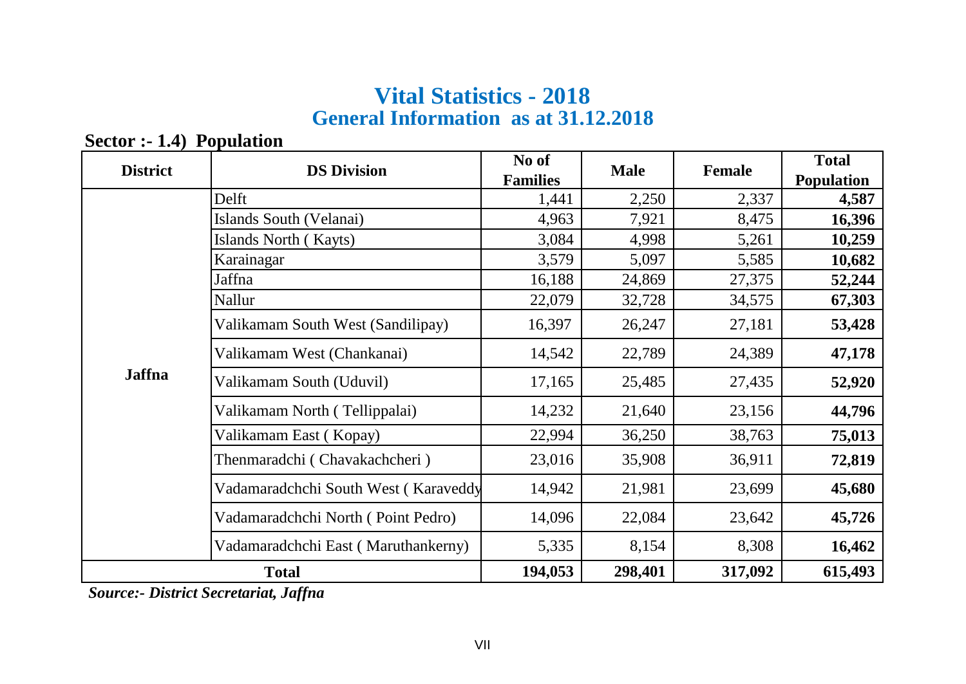# **General Information as at 31.12.2018 Vital Statistics - 2018**

**Sector :- 1.4) Population** 

| <b>District</b> | <b>DS Division</b>                   | No of<br><b>Families</b> | <b>Male</b> | <b>Female</b> | <b>Total</b><br><b>Population</b> |
|-----------------|--------------------------------------|--------------------------|-------------|---------------|-----------------------------------|
|                 | Delft                                | 1,441                    | 2,250       | 2,337         | 4,587                             |
|                 | Islands South (Velanai)              | 4,963                    | 7,921       | 8,475         | 16,396                            |
|                 | Islands North (Kayts)                | 3,084                    | 4,998       | 5,261         | 10,259                            |
|                 | Karainagar                           |                          | 5,097       | 5,585         | 10,682                            |
|                 | Jaffna                               | 16,188                   | 24,869      | 27,375        | 52,244                            |
|                 | Nallur                               | 22,079                   | 32,728      | 34,575        | 67,303                            |
|                 | Valikamam South West (Sandilipay)    | 16,397                   | 26,247      | 27,181        | 53,428                            |
|                 | Valikamam West (Chankanai)           | 14,542                   | 22,789      | 24,389        | 47,178                            |
| <b>Jaffna</b>   | Valikamam South (Uduvil)             | 17,165                   | 25,485      | 27,435        | 52,920                            |
|                 | Valikamam North (Tellippalai)        | 14,232                   | 21,640      | 23,156        | 44,796                            |
|                 | Valikamam East (Kopay)               | 22,994                   | 36,250      | 38,763        | 75,013                            |
|                 | Thenmaradchi (Chavakachcheri)        | 23,016                   | 35,908      | 36,911        | 72,819                            |
|                 | Vadamaradchchi South West (Karaveddy | 14,942                   | 21,981      | 23,699        | 45,680                            |
|                 | Vadamaradchchi North (Point Pedro)   | 14,096                   | 22,084      | 23,642        | 45,726                            |
|                 | Vadamaradchchi East (Maruthankerny)  | 5,335                    | 8,154       | 8,308         | 16,462                            |
|                 | <b>Total</b>                         | 194,053                  | 298,401     | 317,092       | 615,493                           |

 *Source:- District Secretariat, Jaffna*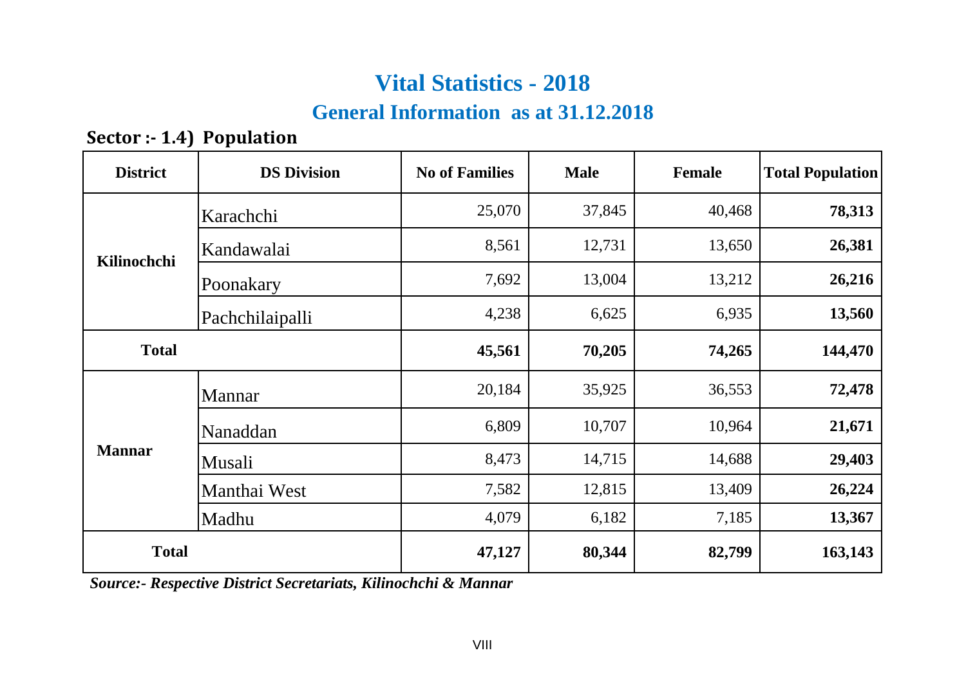### **General Information as at 31.12.2018**

**Sector :- 1.4) Population** 

| <b>District</b> | <b>DS Division</b> | <b>No of Families</b> | <b>Male</b> | <b>Female</b> | <b>Total Population</b> |
|-----------------|--------------------|-----------------------|-------------|---------------|-------------------------|
| Karachchi       |                    | 25,070                | 37,845      | 40,468        | 78,313                  |
| Kilinochchi     | Kandawalai         |                       | 12,731      | 13,650        | 26,381                  |
|                 | Poonakary          | 7,692                 | 13,004      | 13,212        | 26,216                  |
|                 | Pachchilaipalli    | 4,238                 | 6,625       | 6,935         | 13,560                  |
| <b>Total</b>    |                    | 45,561                | 70,205      | 74,265        | 144,470                 |
|                 | Mannar             | 20,184                | 35,925      | 36,553        | 72,478                  |
|                 | Nanaddan           | 6,809                 | 10,707      | 10,964        | 21,671                  |
| <b>Mannar</b>   | Musali             | 8,473                 | 14,715      | 14,688        | 29,403                  |
|                 | Manthai West       | 7,582                 | 12,815      | 13,409        | 26,224                  |
|                 | Madhu              | 4,079                 | 6,182       | 7,185         | 13,367                  |
| <b>Total</b>    |                    | 47,127                | 80,344      | 82,799        | 163,143                 |

 *Source:- Respective District Secretariats, Kilinochchi & Mannar*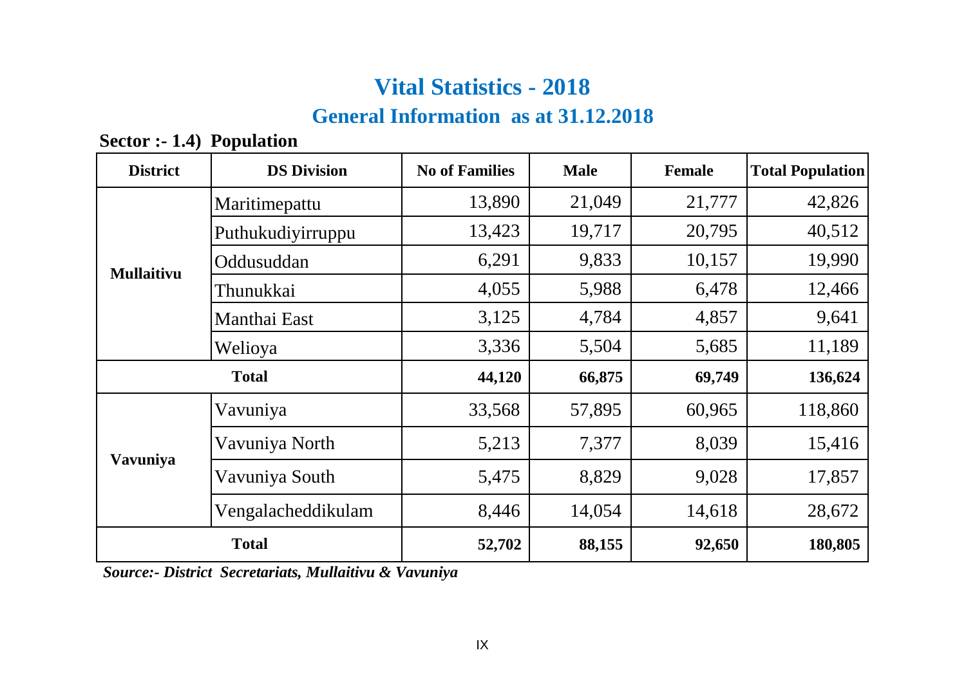# **General Information as at 31.12.2018**

| <b>District</b>   | <b>DS Division</b> | <b>No of Families</b> | <b>Male</b> | <b>Female</b> | <b>Total Population</b> |
|-------------------|--------------------|-----------------------|-------------|---------------|-------------------------|
|                   | Maritimepattu      | 13,890                | 21,049      | 21,777        | 42,826                  |
|                   | Puthukudiyirruppu  | 13,423                | 19,717      | 20,795        | 40,512                  |
| <b>Mullaitivu</b> | Oddusuddan         | 6,291                 | 9,833       | 10,157        | 19,990                  |
|                   | Thunukkai          | 4,055                 | 5,988       | 6,478         | 12,466                  |
|                   | Manthai East       | 3,125                 | 4,784       | 4,857         | 9,641                   |
|                   | Welioya            | 3,336                 | 5,504       | 5,685         | 11,189                  |
|                   | <b>Total</b>       | 44,120                | 66,875      | 69,749        | 136,624                 |
|                   | Vavuniya           | 33,568                | 57,895      | 60,965        | 118,860                 |
|                   | Vavuniya North     | 5,213                 | 7,377       | 8,039         | 15,416                  |
| Vavuniya          | Vavuniya South     | 5,475                 | 8,829       | 9,028         | 17,857                  |
|                   | Vengalacheddikulam | 8,446                 | 14,054      | 14,618        | 28,672                  |
|                   | <b>Total</b>       | 52,702                | 88,155      | 92,650        | 180,805                 |

**Sector :- 1.4) Population** 

 *Source:- District Secretariats, Mullaitivu & Vavuniya*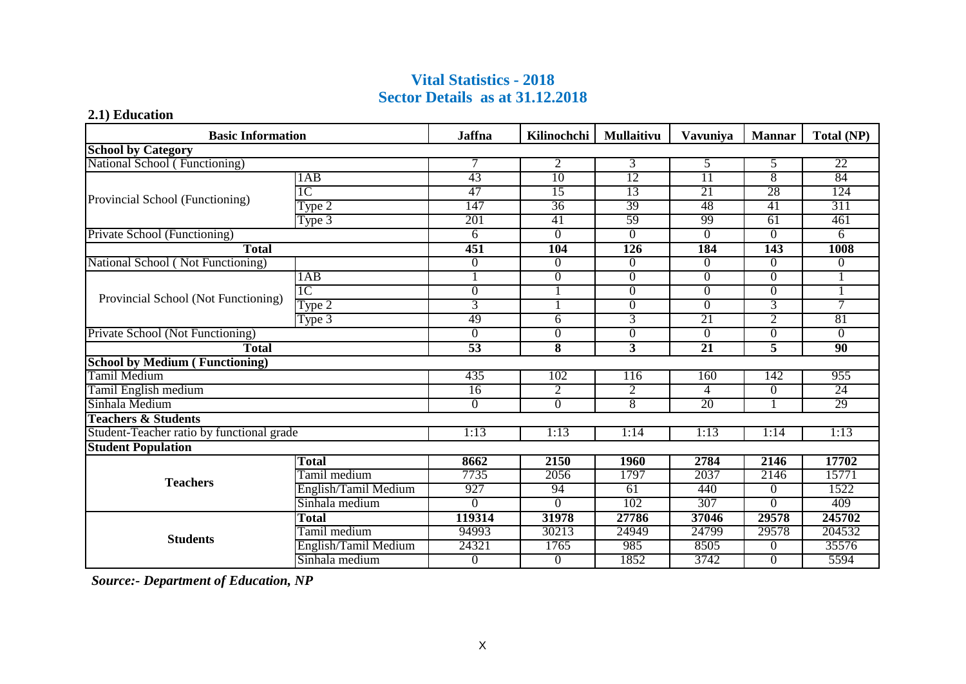#### **Vital Statistics - 2018 Sector Details as at 31.12.2018**

#### **2.1) Education**

| <b>Basic Information</b>                  |                      | <b>Jaffna</b>   | Kilinochchi     | <b>Mullaitivu</b> | <b>Vavuniva</b> | <b>Mannar</b>  | Total (NP)      |
|-------------------------------------------|----------------------|-----------------|-----------------|-------------------|-----------------|----------------|-----------------|
| <b>School by Category</b>                 |                      |                 |                 |                   |                 |                |                 |
| National School (Functioning)             |                      | 7               | 2               | 3                 | 5               | 5              | 22              |
|                                           | 1AB                  | 43              | $\overline{10}$ | 12                | $\overline{11}$ | 8              | 84              |
| Provincial School (Functioning)           | TC                   | 47              | 15              | 13                | 21              | 28             | 124             |
|                                           | Type 2               | 147             | 36              | 39                | 48              | 41             | 311             |
|                                           | Type 3               | 201             | 41              | 59                | -99             | 61             | 461             |
| Private School (Functioning)              |                      | 6               | $\overline{0}$  | $\overline{0}$    | $\overline{0}$  | $\overline{0}$ | 6               |
| <b>Total</b>                              |                      | 451             | 104             | 126               | 184             | 143            | 1008            |
| National School (Not Functioning)         |                      | $\mathbf{0}$    | $\Omega$        | $\Omega$          | $\Omega$        | $\Omega$       | 0               |
|                                           | 1AB                  |                 | $\overline{0}$  | $\overline{0}$    | $\overline{0}$  | $\Omega$       |                 |
| Provincial School (Not Functioning)       | 1 <sup>C</sup>       | $\mathbf{0}$    |                 | $\Omega$          | $\overline{0}$  | $\Omega$       |                 |
|                                           | Type 2               | 3               |                 | $\overline{0}$    | $\overline{0}$  | 3              | 7               |
|                                           | Type 3               | 49              | 6               | $\overline{3}$    | 21              | $\overline{2}$ | 81              |
| Private School (Not Functioning)          |                      | $\Omega$        | $\overline{0}$  | $\overline{0}$    | $\Omega$        | $\Omega$       | 0               |
| <b>Total</b>                              |                      | $\overline{53}$ | 8               | 3                 | 21              | 5              | $\overline{90}$ |
| <b>School by Medium (Functioning)</b>     |                      |                 |                 |                   |                 |                |                 |
| <b>Tamil Medium</b>                       |                      | 435             | 102             | 116               | 160             | 142            | 955             |
| Tamil English medium                      |                      | $\overline{16}$ | $\overline{2}$  | $\overline{2}$    | 4               | $\Omega$       | 24              |
| Sinhala Medium                            |                      | $\Omega$        | $\Omega$        | $\overline{8}$    | 20              |                | 29              |
| <b>Teachers &amp; Students</b>            |                      |                 |                 |                   |                 |                |                 |
| Student-Teacher ratio by functional grade |                      | 1:13            | 1:13            | 1:14              | 1:13            | 1:14           | 1:13            |
| <b>Student Population</b>                 |                      |                 |                 |                   |                 |                |                 |
|                                           | <b>Total</b>         | 8662            | 2150            | 1960              | 2784            | 2146           | 17702           |
| <b>Teachers</b>                           | Tamil medium         | 7735            | 2056            | 1797              | 2037            | 2146           | 15771           |
|                                           | English/Tamil Medium | 927             | 94              | 61                | 440             | $\Omega$       | 1522            |
|                                           | Sinhala medium       | $\Omega$        | $\Omega$        | 102               | 307             | $\Omega$       | 409             |
|                                           | <b>Total</b>         | 119314          | 31978           | 27786             | 37046           | 29578          | 245702          |
| <b>Students</b>                           | Tamil medium         | 94993           | 30213           | 24949             | 24799           | 29578          | 204532          |
|                                           | English/Tamil Medium | 24321           | 1765            | 985               | 8505            | $\Omega$       | 35576           |
|                                           | Sinhala medium       | $\bf{0}$        | $\theta$        | 1852              | 3742            | $\Omega$       | 5594            |

 *Source:- Department of Education, NP*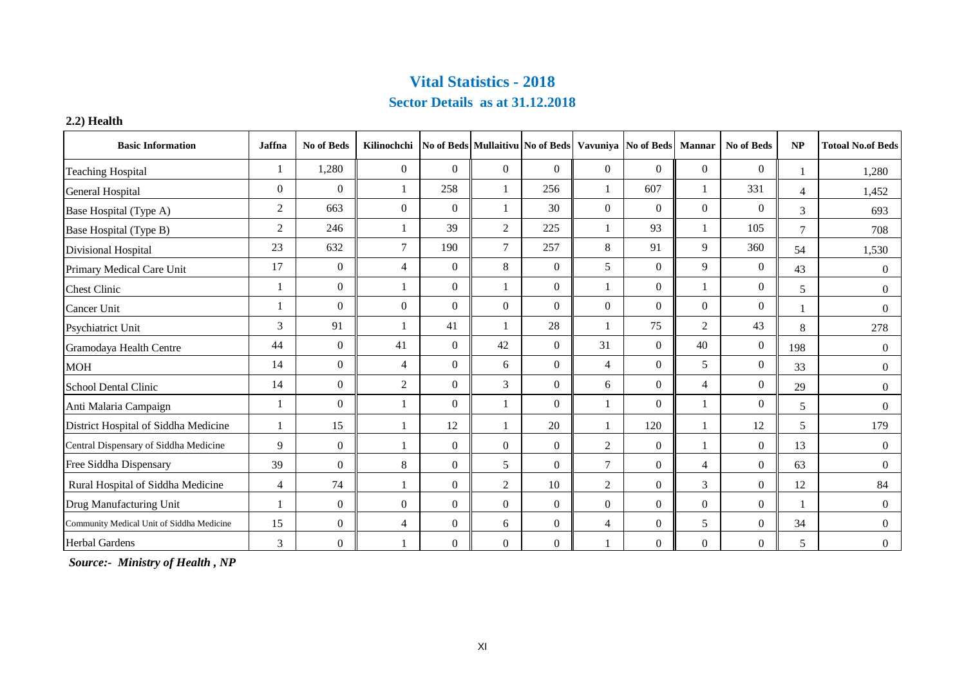#### **Sector Details as at 31.12.2018**

#### **2.2) Health**

| <b>Basic Information</b>                  | Jaffna         | No of Beds     | Kilinochchi    |                |                |                |                | No of Beds Mullaitivu No of Beds Vavuniya No of Beds | <b>Mannar</b>  | No of Beds     | NP             | <b>Totoal No.of Beds</b> |
|-------------------------------------------|----------------|----------------|----------------|----------------|----------------|----------------|----------------|------------------------------------------------------|----------------|----------------|----------------|--------------------------|
| <b>Teaching Hospital</b>                  |                | 1,280          | $\mathbf{0}$   | $\Omega$       | $\Omega$       | $\overline{0}$ | $\overline{0}$ | $\overline{0}$                                       | $\overline{0}$ | $\mathbf{0}$   |                | 1.280                    |
| General Hospital                          | $\overline{0}$ | $\Omega$       |                | 258            |                | 256            |                | 607                                                  | 1              | 331            | $\overline{4}$ | 1,452                    |
| Base Hospital (Type A)                    | $\overline{2}$ | 663            | $\mathbf{0}$   | $\Omega$       |                | 30             | $\overline{0}$ | $\overline{0}$                                       | $\Omega$       | $\mathbf{0}$   | 3              | 693                      |
| Base Hospital (Type B)                    | 2              | 246            |                | 39             | 2              | 225            |                | 93                                                   |                | 105            | $\tau$         | 708                      |
| Divisional Hospital                       | 23             | 632            | $\tau$         | 190            | $\overline{7}$ | 257            | 8              | 91                                                   | 9              | 360            | 54             | 1,530                    |
| Primary Medical Care Unit                 | 17             | $\mathbf{0}$   | $\overline{4}$ | $\Omega$       | 8              | $\mathbf{0}$   | 5              | $\overline{0}$                                       | 9              | $\mathbf{0}$   | 43             | $\overline{0}$           |
| <b>Chest Clinic</b>                       |                | $\overline{0}$ |                | $\overline{0}$ |                | $\overline{0}$ |                | $\overline{0}$                                       |                | $\overline{0}$ | 5              | $\Omega$                 |
| Cancer Unit                               |                | $\Omega$       | $\Omega$       | $\Omega$       | $\Omega$       | $\Omega$       | $\Omega$       | $\Omega$                                             | $\Omega$       | $\Omega$       |                | $\Omega$                 |
| <b>Psychiatrict Unit</b>                  | 3              | 91             |                | 41             |                | 28             |                | 75                                                   | 2              | 43             | 8              | 278                      |
| Gramodaya Health Centre                   | 44             | $\mathbf{0}$   | 41             | $\overline{0}$ | 42             | $\mathbf{0}$   | 31             | $\overline{0}$                                       | 40             | $\overline{0}$ | 198            | $\Omega$                 |
| <b>MOH</b>                                | 14             | $\overline{0}$ | $\overline{4}$ | $\overline{0}$ | 6              | $\overline{0}$ | $\overline{4}$ | $\overline{0}$                                       | 5              | $\overline{0}$ | 33             | $\overline{0}$           |
| School Dental Clinic                      | 14             | $\Omega$       | 2              | $\overline{0}$ | 3              | $\overline{0}$ | 6              | $\overline{0}$                                       | $\overline{4}$ | $\overline{0}$ | 29             | $\overline{0}$           |
| Anti Malaria Campaign                     |                | $\Omega$       |                | $\overline{0}$ |                | $\mathbf{0}$   |                | $\overline{0}$                                       |                | $\mathbf{0}$   | 5              | $\Omega$                 |
| District Hospital of Siddha Medicine      |                | 15             |                | 12             |                | 20             |                | 120                                                  | 1              | 12             | 5              | 179                      |
| Central Dispensary of Siddha Medicine     | 9              | $\mathbf{0}$   |                | $\overline{0}$ | $\Omega$       | $\mathbf{0}$   | $\overline{2}$ | $\mathbf{0}$                                         | 1              | $\overline{0}$ | 13             | $\Omega$                 |
| Free Siddha Dispensary                    | 39             | $\overline{0}$ | 8              | $\overline{0}$ | 5              | $\overline{0}$ | 7              | $\overline{0}$                                       | $\overline{4}$ | $\overline{0}$ | 63             | $\overline{0}$           |
| Rural Hospital of Siddha Medicine         | $\overline{4}$ | 74             |                | $\overline{0}$ | $\overline{c}$ | 10             | $\overline{2}$ | $\overline{0}$                                       | 3              | $\mathbf{0}$   | 12             | 84                       |
| Drug Manufacturing Unit                   |                | $\Omega$       | $\mathbf{0}$   | $\overline{0}$ | $\Omega$       | $\overline{0}$ | $\Omega$       | $\overline{0}$                                       | $\Omega$       | $\overline{0}$ |                | $\Omega$                 |
| Community Medical Unit of Siddha Medicine | 15             | $\overline{0}$ | $\overline{4}$ | $\overline{0}$ | 6              | $\mathbf{0}$   | $\overline{4}$ | $\overline{0}$                                       | 5              | $\overline{0}$ | 34             | $\overline{0}$           |
| <b>Herbal Gardens</b>                     | 3              | $\mathbf{0}$   |                | $\overline{0}$ | $\mathbf{0}$   | $\overline{0}$ |                | $\overline{0}$                                       | $\mathbf{0}$   | $\overline{0}$ | 5              | $\overline{0}$           |

 *Source:- Ministry of Health , NP*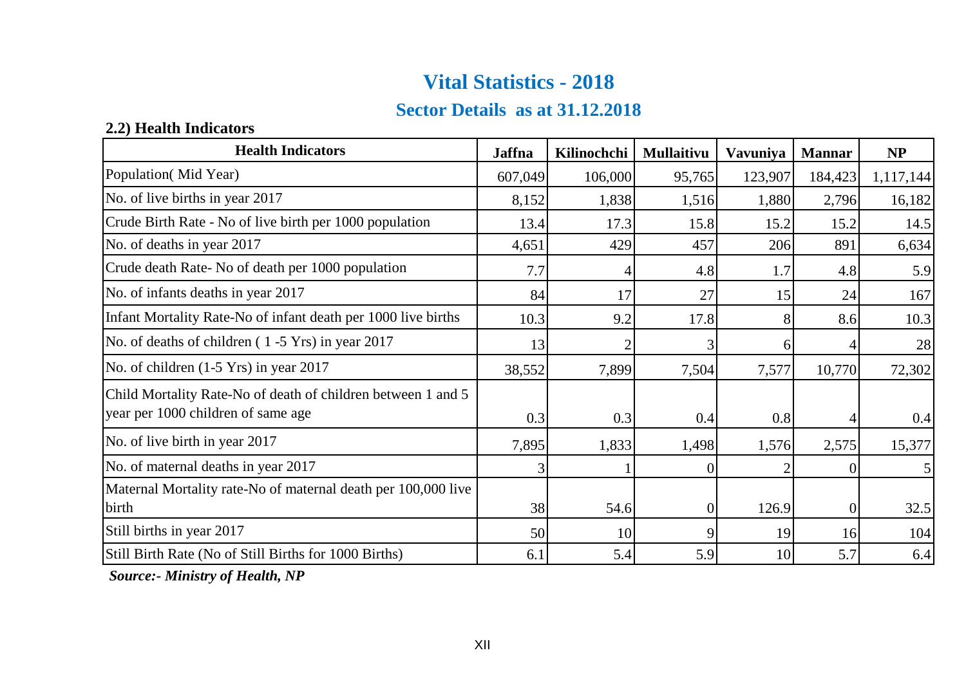### **Sector Details as at 31.12.2018**

#### **2.2) Health Indicators**

| <b>Health Indicators</b>                                                                           | <b>Jaffna</b> | Kilinochchi | <b>Mullaitivu</b> | Vavuniya | <b>Mannar</b> | NP             |
|----------------------------------------------------------------------------------------------------|---------------|-------------|-------------------|----------|---------------|----------------|
| Population(Mid Year)                                                                               | 607,049       | 106,000     | 95,765            | 123,907  | 184,423       | 1,117,144      |
| No. of live births in year 2017                                                                    | 8,152         | 1,838       | 1,516             | 1,880    | 2,796         | 16,182         |
| Crude Birth Rate - No of live birth per 1000 population                                            | 13.4          | 17.3        | 15.8              | 15.2     | 15.2          | 14.5           |
| No. of deaths in year 2017                                                                         | 4,651         | 429         | 457               | 206      | 891           | 6,634          |
| Crude death Rate-No of death per 1000 population                                                   | 7.7           |             | 4.8               | 1.7      | 4.8           | 5.9            |
| No. of infants deaths in year 2017                                                                 | 84            | 17          | 27                | 15       | 24            | 167            |
| Infant Mortality Rate-No of infant death per 1000 live births                                      | 10.3          | 9.2         | 17.8              | 8        | 8.6           | 10.3           |
| No. of deaths of children (1-5 Yrs) in year 2017                                                   | 13            |             |                   | 6        |               | 28             |
| No. of children (1-5 Yrs) in year 2017                                                             | 38,552        | 7,899       | 7,504             | 7,577    | 10,770        | 72,302         |
| Child Mortality Rate-No of death of children between 1 and 5<br>year per 1000 children of same age | 0.3           | 0.3         | 0.4               | 0.8      |               | 0.4            |
| No. of live birth in year 2017                                                                     | 7,895         | 1,833       | 1,498             | 1,576    | 2,575         | 15,377         |
| No. of maternal deaths in year 2017                                                                |               |             | $\theta$          |          |               | 5 <sub>l</sub> |
| Maternal Mortality rate-No of maternal death per 100,000 live                                      |               |             |                   |          |               |                |
| birth                                                                                              | 38            | 54.6        | $\theta$          | 126.9    | 0             | 32.5           |
| Still births in year 2017                                                                          | 50            | 10          | 9                 | 19       | 16            | 104            |
| Still Birth Rate (No of Still Births for 1000 Births)                                              | 6.1           | 5.4         | 5.9               | 10       | 5.7           | 6.4            |

 *Source:- Ministry of Health, NP*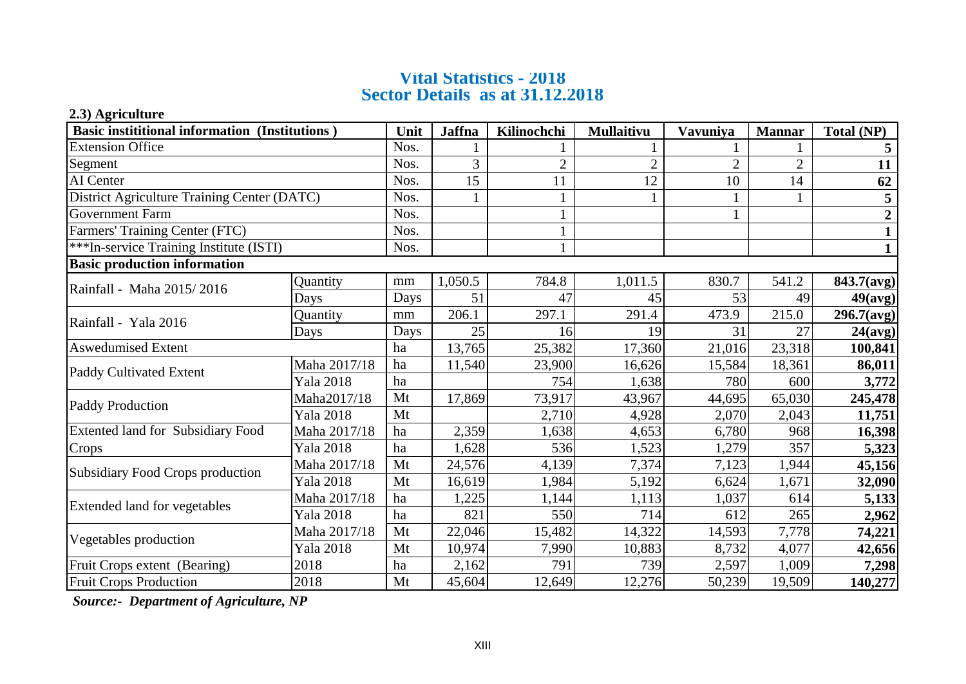#### **Vital Statistics - 2018 Sector Details as at 31.12.2018**

#### **2.3) Agriculture**

| <b>Basic instititional information (Institutions)</b> |                  |      | <b>Jaffna</b> | Kilinochchi    | <b>Mullaitivu</b> | Vavuniya       | <b>Mannar</b>  | Total (NP)       |
|-------------------------------------------------------|------------------|------|---------------|----------------|-------------------|----------------|----------------|------------------|
| <b>Extension Office</b>                               |                  | Nos. |               |                |                   |                |                |                  |
| Segment                                               |                  | Nos. | 3             | $\overline{2}$ | $\overline{2}$    | $\overline{c}$ | $\overline{2}$ | 11               |
| AI Center                                             |                  | Nos. | 15            | 11             | 12                | 10             | 14             | 62               |
| District Agriculture Training Center (DATC)           |                  | Nos. |               |                |                   |                |                | 5                |
| <b>Government Farm</b>                                |                  | Nos. |               |                |                   |                |                |                  |
| Farmers' Training Center (FTC)                        |                  | Nos. |               |                |                   |                |                |                  |
| ***In-service Training Institute (ISTI)               |                  | Nos. |               |                |                   |                |                |                  |
| <b>Basic production information</b>                   |                  |      |               |                |                   |                |                |                  |
| Rainfall - Maha 2015/2016                             | Quantity         | mm   | 1,050.5       | 784.8          | 1,011.5           | 830.7          | 541.2          | 843.7(avg)       |
|                                                       | Days             | Days | 51            | 47             | 45                | 53             | 49             | $49(\text{avg})$ |
| Rainfall - Yala 2016                                  | Quantity         | mm   | 206.1         | 297.1          | 291.4             | 473.9          | 215.0          | 296.7(avg)       |
|                                                       | Days             | Days | 25            | 16             | 19                | 31             | 27             | 24(avg)          |
| <b>Aswedumised Extent</b>                             |                  | ha   | 13,765        | 25,382         | 17,360            | 21,016         | 23,318         | 100,841          |
| Maha 2017/18                                          |                  | ha   | 11,540        | 23,900         | 16,626            | 15,584         | 18,361         | 86,011           |
| Paddy Cultivated Extent                               | <b>Yala 2018</b> | ha   |               | 754            | 1,638             | 780            | 600            | 3,772            |
| Paddy Production                                      | Maha2017/18      | Mt   | 17,869        | 73,917         | 43,967            | 44,695         | 65,030         | 245,478          |
|                                                       | <b>Yala 2018</b> | Mt   |               | 2,710          | 4,928             | 2,070          | 2,043          | 11,751           |
| <b>Extented land for Subsidiary Food</b>              | Maha 2017/18     | ha   | 2,359         | 1,638          | 4,653             | 6,780          | 968            | 16,398           |
| Crops                                                 | <b>Yala 2018</b> | ha   | 1,628         | 536            | 1,523             | 1,279          | 357            | 5,323            |
| Subsidiary Food Crops production                      | Maha 2017/18     | Mt   | 24,576        | 4,139          | 7,374             | 7,123          | 1,944          | 45,156           |
|                                                       | <b>Yala 2018</b> | Mt   | 16,619        | 1,984          | 5,192             | 6,624          | 1,671          | 32,090           |
|                                                       | Maha 2017/18     | ha   | 1,225         | 1,144          | 1,113             | 1,037          | 614            | 5,133            |
| Extended land for vegetables<br><b>Yala 2018</b>      |                  | ha   | 821           | 550            | 714               | 612            | 265            | 2,962            |
| Vegetables production                                 | Maha 2017/18     | Mt   | 22,046        | 15,482         | 14,322            | 14,593         | 7,778          | 74,221           |
|                                                       | Yala 2018        | Mt   | 10,974        | 7,990          | 10,883            | 8,732          | 4,077          | 42,656           |
| Fruit Crops extent (Bearing)                          | 2018             | ha   | 2,162         | 791            | 739               | 2,597          | 1,009          | 7,298            |
| <b>Fruit Crops Production</b>                         | 2018             | Mt   | 45,604        | 12,649         | 12,276            | 50,239         | 19,509         | 140,277          |

 *Source:- Department of Agriculture, NP*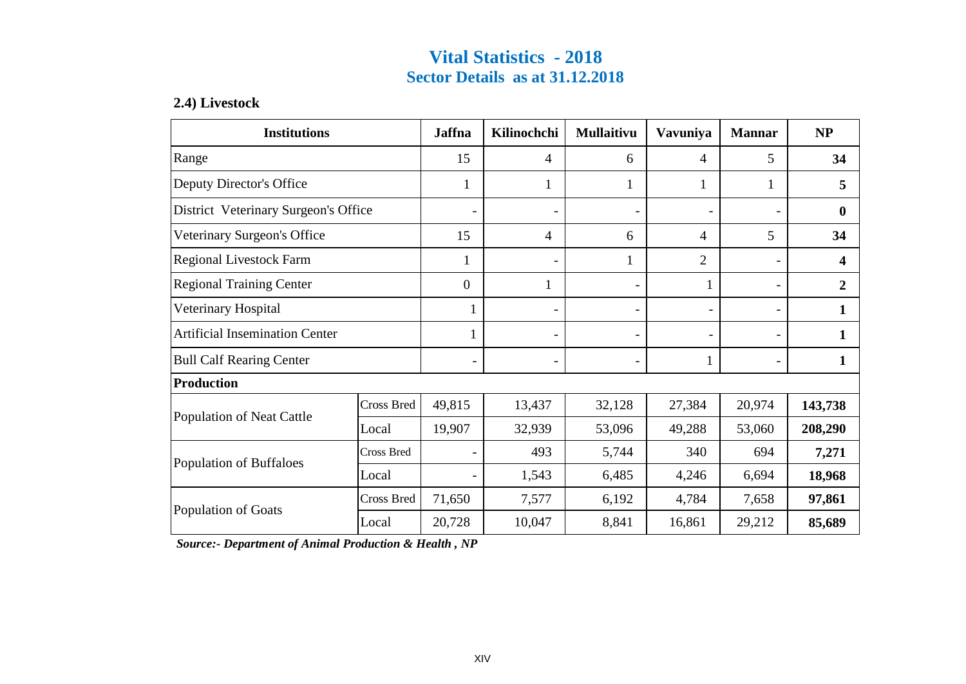### **Vital Statistics - 2018 Sector Details as at 31.12.2018**

#### **2.4) Livestock**

| <b>Institutions</b>                   |            | <b>Jaffna</b>    | Kilinochchi    | Mullaitivu               | Vavuniya                     | <b>Mannar</b> | <b>NP</b>        |
|---------------------------------------|------------|------------------|----------------|--------------------------|------------------------------|---------------|------------------|
| Range                                 |            | 15               | $\overline{4}$ | 6                        | 4                            | 5             | 34               |
| Deputy Director's Office              |            | 1                | 1              | 1                        | 1                            | 1             | 5                |
| District Veterinary Surgeon's Office  |            |                  |                | $\blacksquare$           | ۰                            |               | $\mathbf{0}$     |
| Veterinary Surgeon's Office           |            | 15               | $\overline{4}$ | 6                        | 4                            | 5             | 34               |
| Regional Livestock Farm               |            | 1                |                | 1                        | $\overline{2}$               |               | $\boldsymbol{4}$ |
| <b>Regional Training Center</b>       |            | $\boldsymbol{0}$ | 1              | $\overline{\phantom{0}}$ | 1                            |               | $\overline{2}$   |
| Veterinary Hospital                   |            | 1                |                | -                        | $\frac{1}{2}$                |               | 1                |
| <b>Artificial Insemination Center</b> |            |                  |                | $\overline{\phantom{0}}$ | $\qquad \qquad \blacksquare$ |               | 1                |
| <b>Bull Calf Rearing Center</b>       |            |                  |                |                          | 1                            |               | 1                |
| <b>Production</b>                     |            |                  |                |                          |                              |               |                  |
| Population of Neat Cattle             | Cross Bred | 49,815           | 13,437         | 32,128                   | 27,384                       | 20,974        | 143,738          |
|                                       | Local      | 19,907           | 32,939         | 53,096                   | 49,288                       | 53,060        | 208,290          |
| <b>Cross Bred</b>                     |            |                  | 493            | 5,744                    | 340                          | 694           | 7,271            |
| Population of Buffaloes<br>Local      |            |                  | 1,543          | 6,485                    | 4,246                        | 6,694         | 18,968           |
| Population of Goats                   | Cross Bred | 71,650           | 7,577          | 6,192                    | 4,784                        | 7,658         | 97,861           |
|                                       | Local      | 20,728           | 10,047         | 8,841                    | 16,861                       | 29,212        | 85,689           |

 *Source:- Department of Animal Production & Health , NP*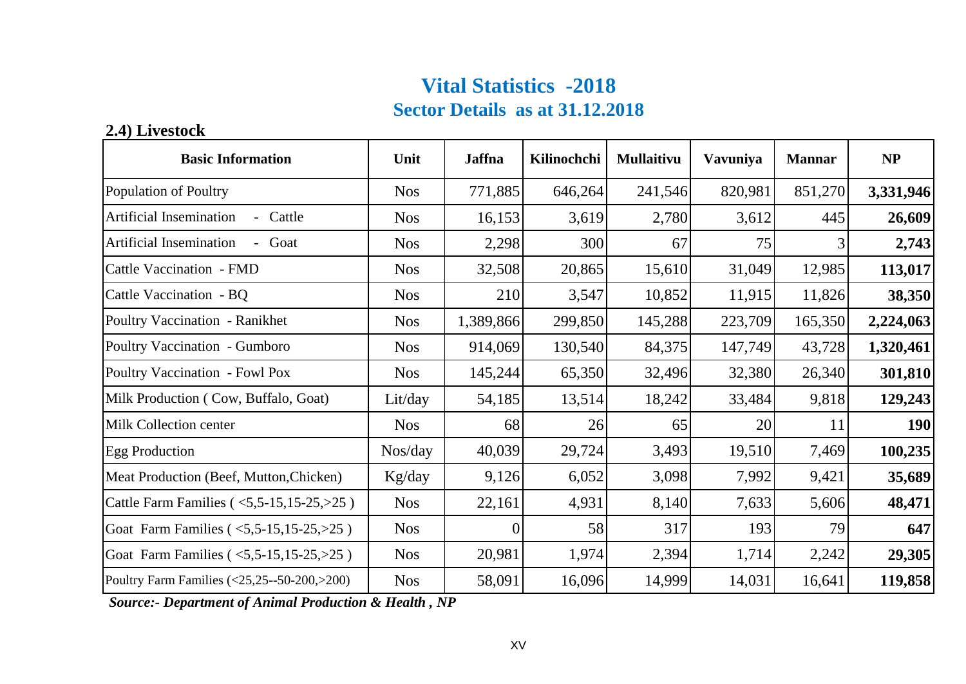# **Vital Statistics -2018 Sector Details as at 31.12.2018**

### **2.4) Livestock**

| <b>Basic Information</b>                                    | Unit       | <b>Jaffna</b> | Kilinochchi | <b>Mullaitivu</b> | <b>Vavuniya</b> | <b>Mannar</b> | NP         |
|-------------------------------------------------------------|------------|---------------|-------------|-------------------|-----------------|---------------|------------|
| Population of Poultry                                       | <b>Nos</b> | 771,885       | 646,264     | 241,546           | 820,981         | 851,270       | 3,331,946  |
| <b>Artificial Insemination</b><br>Cattle                    | <b>Nos</b> | 16,153        | 3,619       | 2,780             | 3,612           | 445           | 26,609     |
| Artificial Insemination<br>Goat                             | <b>Nos</b> | 2,298         | 300         | 67                | 75              | 3             | 2,743      |
| Cattle Vaccination - FMD                                    | <b>Nos</b> | 32,508        | 20,865      | 15,610            | 31,049          | 12,985        | 113,017    |
| Cattle Vaccination - BQ                                     | <b>Nos</b> | 210           | 3,547       | 10,852            | 11,915          | 11,826        | 38,350     |
| Poultry Vaccination - Ranikhet                              | <b>Nos</b> | 1,389,866     | 299,850     | 145,288           | 223,709         | 165,350       | 2,224,063  |
| Poultry Vaccination - Gumboro                               | <b>Nos</b> | 914,069       | 130,540     | 84,375            | 147,749         | 43,728        | 1,320,461  |
| Poultry Vaccination - Fowl Pox                              | <b>Nos</b> | 145,244       | 65,350      | 32,496            | 32,380          | 26,340        | 301,810    |
| Milk Production (Cow, Buffalo, Goat)                        | Lit/day    | 54,185        | 13,514      | 18,242            | 33,484          | 9,818         | 129,243    |
| Milk Collection center                                      | <b>Nos</b> | 68            | 26          | 65                | 20              | 11            | <b>190</b> |
| <b>Egg Production</b>                                       | Nos/day    | 40,039        | 29,724      | 3,493             | 19,510          | 7,469         | 100,235    |
| Meat Production (Beef, Mutton, Chicken)                     | Kg/day     | 9,126         | 6,052       | 3,098             | 7,992           | 9,421         | 35,689     |
| Cattle Farm Families (<5,5-15,15-25,>25)                    | <b>Nos</b> | 22,161        | 4,931       | 8,140             | 7,633           | 5,606         | 48,471     |
| Goat Farm Families ( $\langle 5, 5-15, 15-25, 25 \rangle$ ) | <b>Nos</b> | $\Omega$      | 58          | 317               | 193             | 79            | 647        |
| Goat Farm Families (<5,5-15,15-25,>25)                      | <b>Nos</b> | 20,981        | 1,974       | 2,394             | 1,714           | 2,242         | 29,305     |
| Poultry Farm Families (<25,25--50-200,>200)                 | <b>Nos</b> | 58,091        | 16,096      | 14,999            | 14,031          | 16,641        | 119,858    |

 *Source:- Department of Animal Production & Health , NP*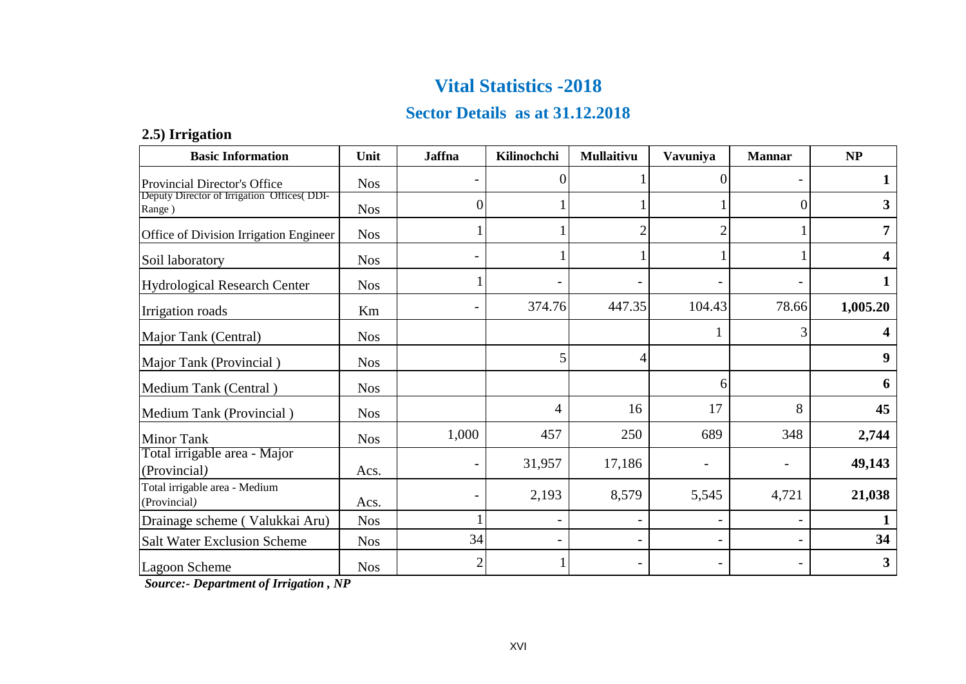### **Sector Details as at 31.12.2018**

#### **2.5) Irrigation**

| <b>Basic Information</b>                              | Unit       | <b>Jaffna</b> | Kilinochchi    | <b>Mullaitivu</b> | Vavuniya          | <b>Mannar</b> | NP       |
|-------------------------------------------------------|------------|---------------|----------------|-------------------|-------------------|---------------|----------|
| <b>Provincial Director's Office</b>                   | <b>Nos</b> |               | $\theta$       |                   | 0                 |               |          |
| Deputy Director of Irrigation Offices (DDI-<br>Range) | <b>Nos</b> | 0             |                |                   |                   | $\Omega$      | 3        |
| Office of Division Irrigation Engineer                | <b>Nos</b> |               |                | $\overline{2}$    | $\overline{2}$    |               | 7        |
| Soil laboratory                                       | <b>Nos</b> |               |                |                   |                   |               | 4        |
| Hydrological Research Center                          | <b>Nos</b> |               |                |                   |                   |               | 1        |
| Irrigation roads                                      | Km         |               | 374.76         | 447.35            | 104.43            | 78.66         | 1,005.20 |
| Major Tank (Central)                                  | <b>Nos</b> |               |                |                   |                   | 3             | 4        |
| Major Tank (Provincial)                               | <b>Nos</b> |               | 5              | $\overline{4}$    |                   |               | 9        |
| Medium Tank (Central)                                 | <b>Nos</b> |               |                |                   | 6                 |               | 6        |
| Medium Tank (Provincial)                              | <b>Nos</b> |               | 4              | 16                | 17                | 8             | 45       |
| <b>Minor Tank</b>                                     | <b>Nos</b> | 1,000         | 457            | 250               | 689               | 348           | 2,744    |
| Total irrigable area - Major<br>(Provincial)          | Acs.       |               | 31,957         | 17,186            | $\qquad \qquad -$ |               | 49,143   |
| Total irrigable area - Medium<br>(Provincial)         | Acs.       |               | 2,193          | 8,579             | 5,545             | 4,721         | 21,038   |
| Drainage scheme (Valukkai Aru)                        | <b>Nos</b> |               |                |                   |                   |               |          |
| <b>Salt Water Exclusion Scheme</b>                    | <b>Nos</b> | 34            | $\overline{a}$ |                   |                   |               | 34       |
| Lagoon Scheme                                         | <b>Nos</b> | 2             |                |                   |                   |               | 3        |

 *Source:- Department of Irrigation , NP*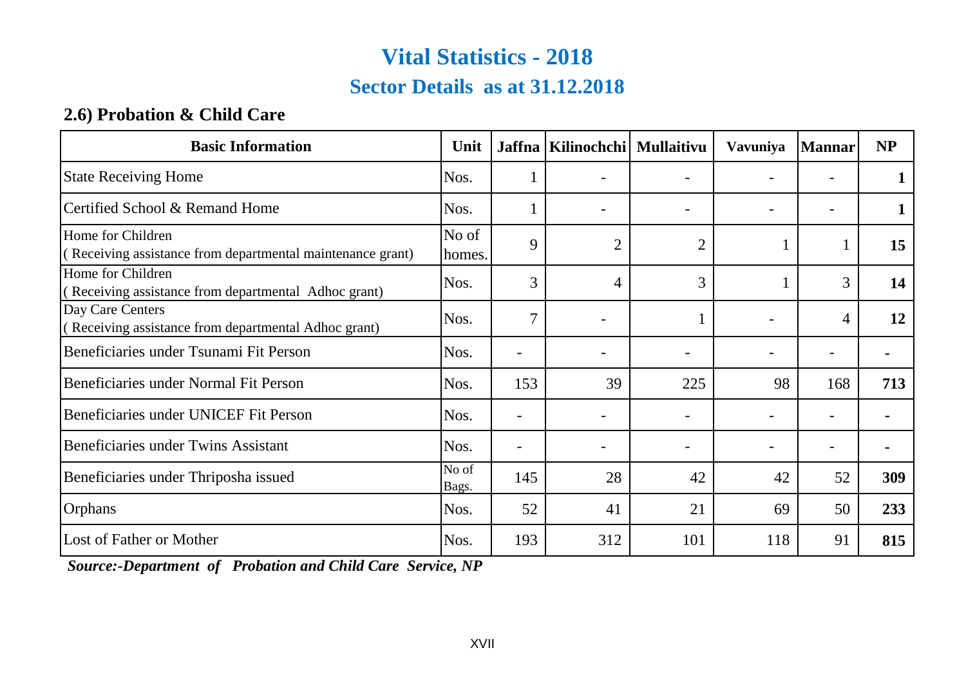### **Sector Details as at 31.12.2018**

### **2.6) Probation & Child Care**

| <b>Basic Information</b>                                                        | Unit            |                          | Jaffna   Kilinochchi   Mullaitivu |                | Vavuniya                 | <b>Mannar</b>            | <b>NP</b> |
|---------------------------------------------------------------------------------|-----------------|--------------------------|-----------------------------------|----------------|--------------------------|--------------------------|-----------|
| <b>State Receiving Home</b>                                                     | Nos.            |                          |                                   |                |                          |                          |           |
| Certified School & Remand Home                                                  | Nos.            |                          |                                   |                |                          |                          |           |
| Home for Children<br>(Receiving assistance from departmental maintenance grant) | No of<br>homes. | 9                        | $\overline{2}$                    | $\overline{2}$ |                          |                          | 15        |
| Home for Children<br>(Receiving assistance from departmental Adhoc grant)       | Nos.            | 3                        | 4                                 | 3              |                          | 3                        | 14        |
| Day Care Centers<br>(Receiving assistance from departmental Adhoc grant)        | Nos.            | $\mathcal{I}$            |                                   |                | $\overline{\phantom{0}}$ | 4                        | 12        |
| Beneficiaries under Tsunami Fit Person                                          | Nos.            | ۰                        |                                   |                |                          | $\overline{\phantom{a}}$ |           |
| Beneficiaries under Normal Fit Person                                           | Nos.            | 153                      | 39                                | 225            | 98                       | 168                      | 713       |
| Beneficiaries under UNICEF Fit Person                                           | Nos.            | $\blacksquare$           |                                   |                |                          |                          |           |
| Beneficiaries under Twins Assistant                                             | Nos.            | $\overline{\phantom{0}}$ |                                   |                |                          | $\overline{\phantom{0}}$ |           |
| Beneficiaries under Thriposha issued                                            | No of<br>Bags.  | 145                      | 28                                | 42             | 42                       | 52                       | 309       |
| Orphans                                                                         | Nos.            | 52                       | 41                                | 21             | 69                       | 50                       | 233       |
| Lost of Father or Mother                                                        | Nos.            | 193                      | 312                               | 101            | 118                      | 91                       | 815       |

 *Source:-Department of Probation and Child Care Service, NP*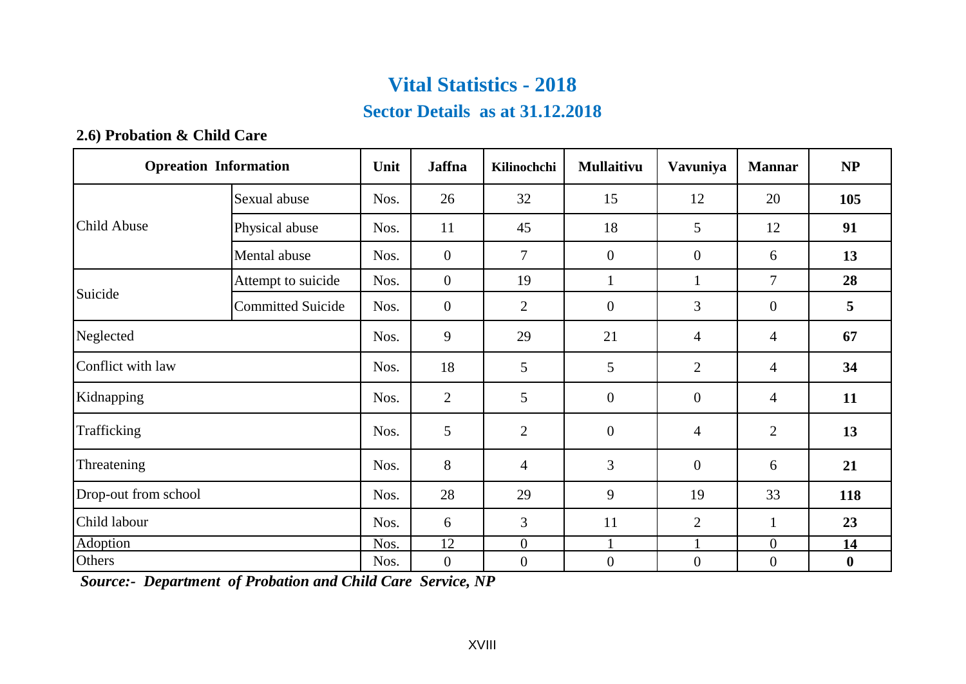### **Sector Details as at 31.12.2018**

#### **2.6) Probation & Child Care**

| <b>Opreation Information</b> |                          | Unit | Jaffna           | Kilinochchi      | <b>Mullaitivu</b> | Vavuniya         | <b>Mannar</b>    | NP               |
|------------------------------|--------------------------|------|------------------|------------------|-------------------|------------------|------------------|------------------|
|                              | Sexual abuse             | Nos. | 26               | 32               | 15                | 12               | 20               | 105              |
| Child Abuse                  | Physical abuse           | Nos. | 11               | 45               | 18                | 5                | 12               | 91               |
|                              | Mental abuse             | Nos. | $\mathbf{0}$     | $\overline{7}$   | $\boldsymbol{0}$  | $\overline{0}$   | 6                | 13               |
|                              | Attempt to suicide       | Nos. | $\boldsymbol{0}$ | 19               | $\mathbf{1}$      | $\mathbf{1}$     | 7                | 28               |
| Suicide                      | <b>Committed Suicide</b> | Nos. | $\mathbf{0}$     | $\overline{2}$   | $\boldsymbol{0}$  | 3                | $\mathbf{0}$     | 5                |
| Neglected                    |                          | Nos. | 9                | 29               | 21                | 4                | 4                | 67               |
| Conflict with law            |                          | Nos. | 18               | 5                | 5                 | $\overline{2}$   | 4                | 34               |
| Kidnapping                   |                          | Nos. | $\mathbf{2}$     | 5                | $\boldsymbol{0}$  | $\overline{0}$   | 4                | 11               |
| Trafficking                  |                          | Nos. | 5                | $\overline{2}$   | $\boldsymbol{0}$  | 4                | $\overline{2}$   | 13               |
| Threatening                  |                          | Nos. | 8                | $\overline{4}$   | 3                 | $\overline{0}$   | 6                | 21               |
| Drop-out from school         |                          | Nos. | 28               | 29               | 9                 | 19               | 33               | 118              |
| Child labour                 |                          | Nos. | 6                | $\overline{3}$   | 11                | $\overline{2}$   | $\mathbf{1}$     | 23               |
| Adoption                     |                          | Nos. | 12               | $\boldsymbol{0}$ |                   |                  | $\boldsymbol{0}$ | 14               |
| Others                       |                          | Nos. | $\boldsymbol{0}$ | $\boldsymbol{0}$ | $\boldsymbol{0}$  | $\boldsymbol{0}$ | $\boldsymbol{0}$ | $\boldsymbol{0}$ |

 *Source:- Department of Probation and Child Care Service, NP*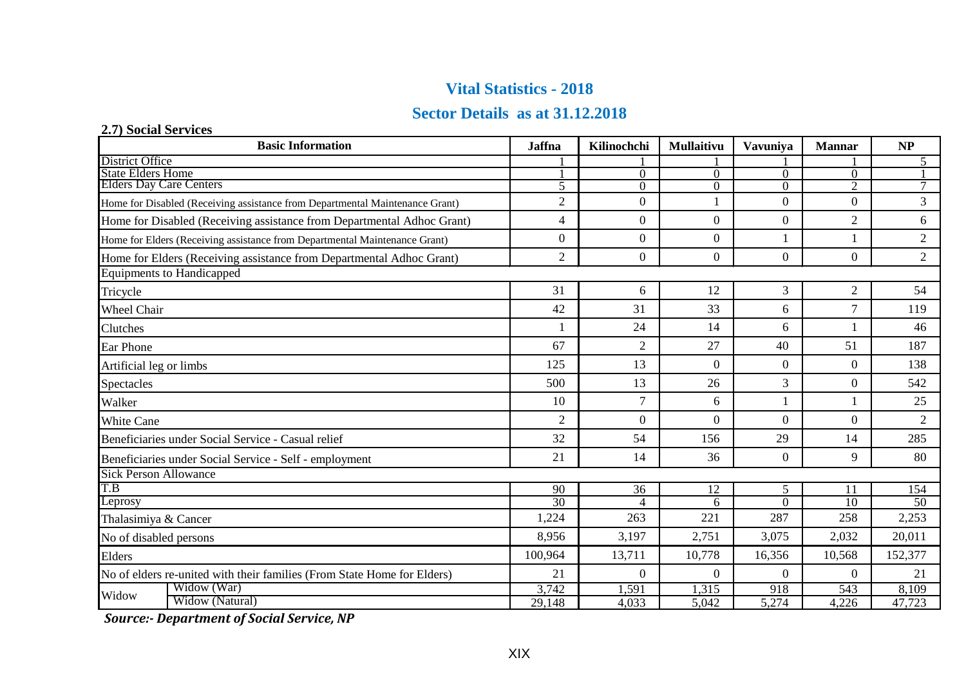#### **Sector Details as at 31.12.2018**

| 2.7) Social Services                                                         |                                                                            |                             |                |            |                 |                          |                 |
|------------------------------------------------------------------------------|----------------------------------------------------------------------------|-----------------------------|----------------|------------|-----------------|--------------------------|-----------------|
|                                                                              | <b>Basic Information</b>                                                   | <b>Jaffna</b>               | Kilinochchi    | Mullaitivu | <b>Vavuniva</b> | <b>Mannar</b>            | NP              |
| District Office<br>State Elders Home                                         |                                                                            |                             |                |            |                 |                          | 5               |
| <b>Elders Day Care Centers</b>                                               |                                                                            |                             | $\Omega$       | 0          | $\Omega$        | $\Omega$                 |                 |
|                                                                              |                                                                            | $\overline{\phantom{0}}$    | $\Omega$       | $\Omega$   | $\Omega$        | $\overline{\mathcal{L}}$ | $\tau$          |
| Home for Disabled (Receiving assistance from Departmental Maintenance Grant) |                                                                            | $\overline{2}$              | $\mathbf{0}$   |            | $\Omega$        | $\Omega$                 | 3               |
|                                                                              | Home for Disabled (Receiving assistance from Departmental Adhoc Grant)     | $\overline{4}$              | $\mathbf{0}$   | $\Omega$   | $\overline{0}$  | 2                        | 6               |
|                                                                              | Home for Elders (Receiving assistance from Departmental Maintenance Grant) | $\theta$                    | $\Omega$       | $\Omega$   |                 |                          | $\overline{c}$  |
|                                                                              | Home for Elders (Receiving assistance from Departmental Adhoc Grant)       | 2                           | $\Omega$       | $\Omega$   | $\Omega$        | $\Omega$                 | $\overline{2}$  |
|                                                                              | <b>Equipments to Handicapped</b>                                           |                             |                |            |                 |                          |                 |
| Tricycle                                                                     |                                                                            | 31                          | 6              | 12         | 3               | 2                        | 54              |
| Wheel Chair                                                                  |                                                                            | 42                          | 31             | 33         | 6               | $\tau$                   | 119             |
| Clutches                                                                     |                                                                            |                             | 24             | 14         | 6               |                          | 46              |
| Ear Phone                                                                    |                                                                            | 67                          | $\overline{2}$ | 27         | 40              | 51                       | 187             |
| Artificial leg or limbs                                                      |                                                                            | 125                         | 13             | $\Omega$   | $\Omega$        | $\Omega$                 | 138             |
| Spectacles                                                                   |                                                                            | 500                         | 13             | 26         | 3               | $\theta$                 | 542             |
| Walker                                                                       |                                                                            | 10                          | $\overline{7}$ | 6          | 1               |                          | 25              |
| <b>White Cane</b>                                                            |                                                                            | $\mathcal{D}_{\mathcal{L}}$ | $\Omega$       | $\Omega$   | $\Omega$        | $\Omega$                 | 2               |
|                                                                              | Beneficiaries under Social Service - Casual relief                         | 32                          | 54             | 156        | 29              | 14                       | 285             |
|                                                                              | Beneficiaries under Social Service - Self - employment                     | 21                          | 14             | 36         | $\overline{0}$  | 9                        | 80              |
| <b>Sick Person Allowance</b>                                                 |                                                                            |                             |                |            |                 |                          |                 |
| T.B                                                                          |                                                                            | 90                          | 36             | 12         | 5               | 11                       | 154             |
| Leprosy                                                                      |                                                                            | $\overline{30}$             | $\overline{4}$ | 6          | $\theta$        | $\overline{10}$          | $\overline{50}$ |
| Thalasimiya & Cancer                                                         |                                                                            | 1,224                       | 263            | 221        | 287             | 258                      | 2,253           |
| No of disabled persons                                                       |                                                                            | 8,956                       | 3,197          | 2,751      | 3,075           | 2,032                    | 20,011          |
| Elders                                                                       |                                                                            | 100,964                     | 13,711         | 10,778     | 16,356          | 10,568                   | 152,377         |
| No of elders re-united with their families (From State Home for Elders)      |                                                                            | 21                          | $\Omega$       | $\Omega$   | $\Omega$        | $\Omega$                 | 21              |
| Widow                                                                        | Widow (War)                                                                | 3,742                       | .591           | 1.315      | 918             | 543                      | 8.109           |
|                                                                              | Widow (Natural)                                                            | 29,148                      | 4,033          | 5,042      | 5,274           | 4,226                    | 47,723          |

 *Source:- Department of Social Service, NP*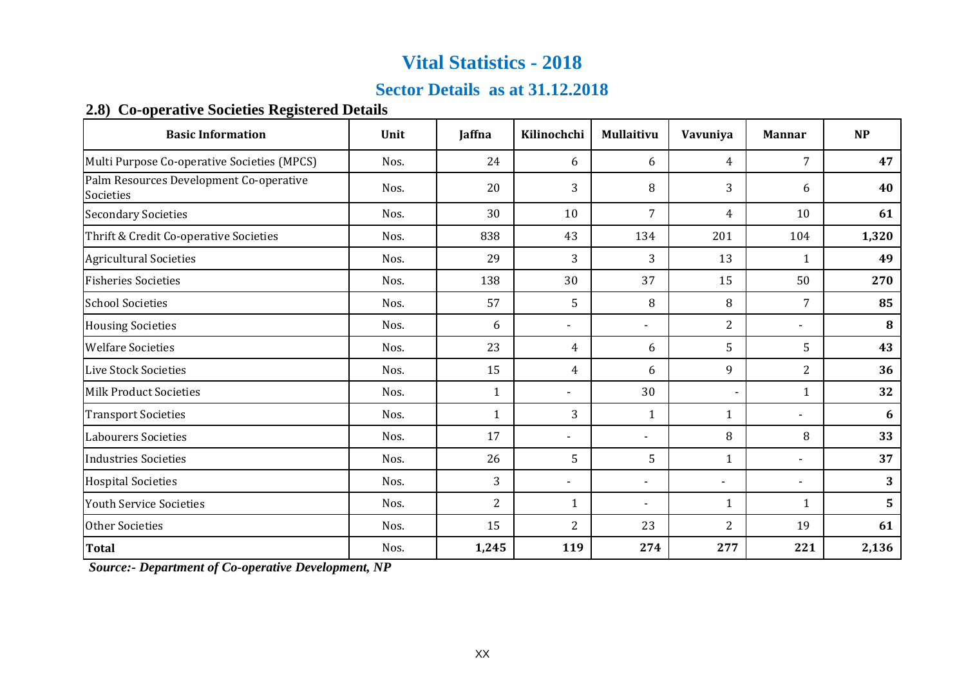### **Sector Details as at 31.12.2018**

#### **2.8) Co-operative Societies Registered Details**

| <b>Basic Information</b>                             | Unit | Jaffna         | Kilinochchi              | Mullaitivu     | Vavuniya       | <b>Mannar</b>            | <b>NP</b> |
|------------------------------------------------------|------|----------------|--------------------------|----------------|----------------|--------------------------|-----------|
| Multi Purpose Co-operative Societies (MPCS)          | Nos. | 24             | 6                        | 6              | $\overline{4}$ | $\overline{7}$           | 47        |
| Palm Resources Development Co-operative<br>Societies | Nos. | 20             | 3                        | 8              | 3              | 6                        | 40        |
| <b>Secondary Societies</b>                           | Nos. | 30             | 10                       | $\overline{7}$ | $\overline{4}$ | 10                       | 61        |
| Thrift & Credit Co-operative Societies               | Nos. | 838            | 43                       | 134            | 201            | 104                      | 1,320     |
| <b>Agricultural Societies</b>                        | Nos. | 29             | 3                        | 3              | 13             | $\mathbf{1}$             | 49        |
| <b>Fisheries Societies</b>                           | Nos. | 138            | 30                       | 37             | 15             | 50                       | 270       |
| <b>School Societies</b>                              | Nos. | 57             | 5                        | 8              | 8              | 7                        | 85        |
| <b>Housing Societies</b>                             | Nos. | 6              | $\blacksquare$           | L.             | 2              | $\overline{\phantom{a}}$ | 8         |
| <b>Welfare Societies</b>                             | Nos. | 23             | 4                        | 6              | 5              | 5                        | 43        |
| <b>Live Stock Societies</b>                          | Nos. | 15             | 4                        | 6              | 9              | $\overline{2}$           | 36        |
| <b>Milk Product Societies</b>                        | Nos. | $\mathbf{1}$   | $\overline{\phantom{a}}$ | 30             | ٠              | $\mathbf{1}$             | 32        |
| <b>Transport Societies</b>                           | Nos. | $\mathbf{1}$   | 3                        | $\mathbf{1}$   | $\mathbf{1}$   |                          | 6         |
| <b>Labourers Societies</b>                           | Nos. | 17             | $\blacksquare$           | $\overline{a}$ | 8              | 8                        | 33        |
| <b>Industries Societies</b>                          | Nos. | 26             | 5                        | 5              | $\mathbf{1}$   | $\overline{\phantom{a}}$ | 37        |
| <b>Hospital Societies</b>                            | Nos. | 3              | $\overline{a}$           | -              | $\overline{a}$ | $\overline{\phantom{a}}$ | 3         |
| <b>Youth Service Societies</b>                       | Nos. | $\overline{2}$ | 1                        | L.             | $\mathbf{1}$   | $\mathbf{1}$             | 5         |
| <b>Other Societies</b>                               | Nos. | 15             | 2                        | 23             | $\overline{2}$ | 19                       | 61        |
| <b>Total</b>                                         | Nos. | 1,245          | 119                      | 274            | 277            | 221                      | 2,136     |

 *Source:- Department of Co-operative Development, NP*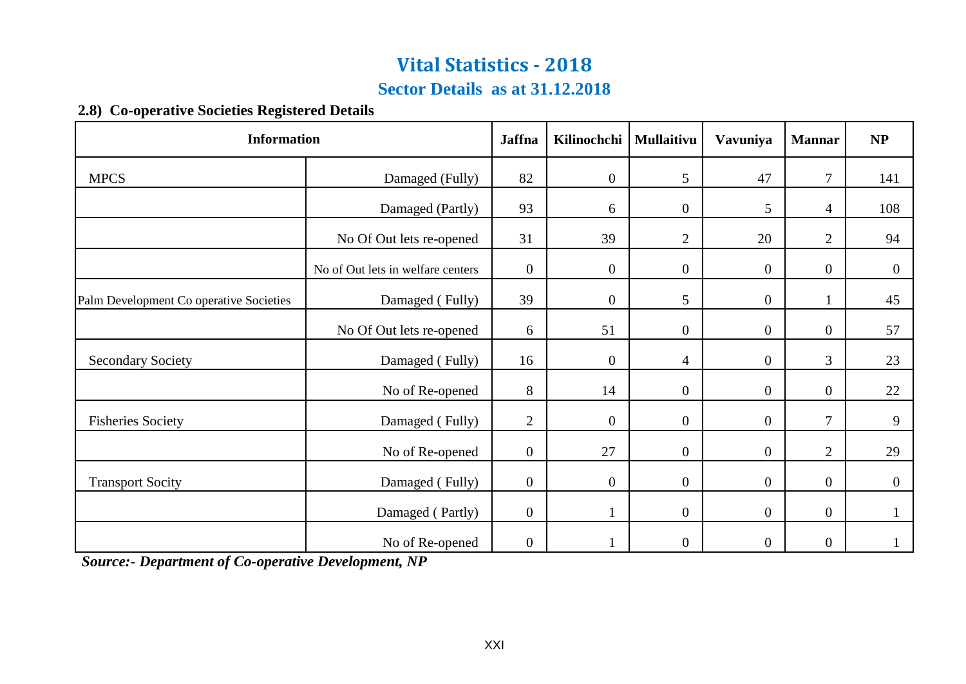### **Sector Details as at 31.12.2018**

#### **2.8) Co-operative Societies Registered Details**

| <b>Information</b>                      |                                   |                  | Kilinochchi      | Mullaitivu       | Vavuniya         | <b>Mannar</b>  | NP           |
|-----------------------------------------|-----------------------------------|------------------|------------------|------------------|------------------|----------------|--------------|
| <b>MPCS</b>                             | Damaged (Fully)                   | 82               | $\boldsymbol{0}$ | 5                | 47               | $\tau$         | 141          |
|                                         | Damaged (Partly)                  | 93               | 6                | $\mathbf{0}$     | 5                | 4              | 108          |
|                                         | No Of Out lets re-opened          | 31               | 39               | 2                | 20               | 2              | 94           |
|                                         | No of Out lets in welfare centers | $\boldsymbol{0}$ | $\overline{0}$   | $\overline{0}$   | $\mathbf{0}$     | $\overline{0}$ | $\mathbf{0}$ |
| Palm Development Co operative Societies | Damaged (Fully)                   | 39               | $\boldsymbol{0}$ | 5                | $\boldsymbol{0}$ |                | 45           |
|                                         | No Of Out lets re-opened          | 6                | 51               | $\boldsymbol{0}$ | $\boldsymbol{0}$ | $\overline{0}$ | 57           |
| <b>Secondary Society</b>                | Damaged (Fully)                   | 16               | $\overline{0}$   | $\overline{4}$   | $\boldsymbol{0}$ | 3              | 23           |
|                                         | No of Re-opened                   | 8                | 14               | $\mathbf{0}$     | $\boldsymbol{0}$ | $\overline{0}$ | 22           |
| <b>Fisheries Society</b>                | Damaged (Fully)                   | $\overline{2}$   | $\mathbf{0}$     | $\mathbf{0}$     | $\boldsymbol{0}$ | $\tau$         | 9            |
|                                         | No of Re-opened                   | $\boldsymbol{0}$ | 27               | $\boldsymbol{0}$ | $\overline{0}$   | $\overline{2}$ | 29           |
| <b>Transport Socity</b>                 | Damaged (Fully)                   | $\boldsymbol{0}$ | $\mathbf{0}$     | $\overline{0}$   | $\boldsymbol{0}$ | $\overline{0}$ | $\mathbf{0}$ |
|                                         | Damaged (Partly)                  | $\mathbf{0}$     | 1                | $\mathbf{0}$     | $\mathbf{0}$     | $\overline{0}$ | $\mathbf{1}$ |
|                                         | No of Re-opened                   | $\overline{0}$   |                  | $\boldsymbol{0}$ | $\overline{0}$   | $\overline{0}$ |              |

 *Source:- Department of Co-operative Development, NP*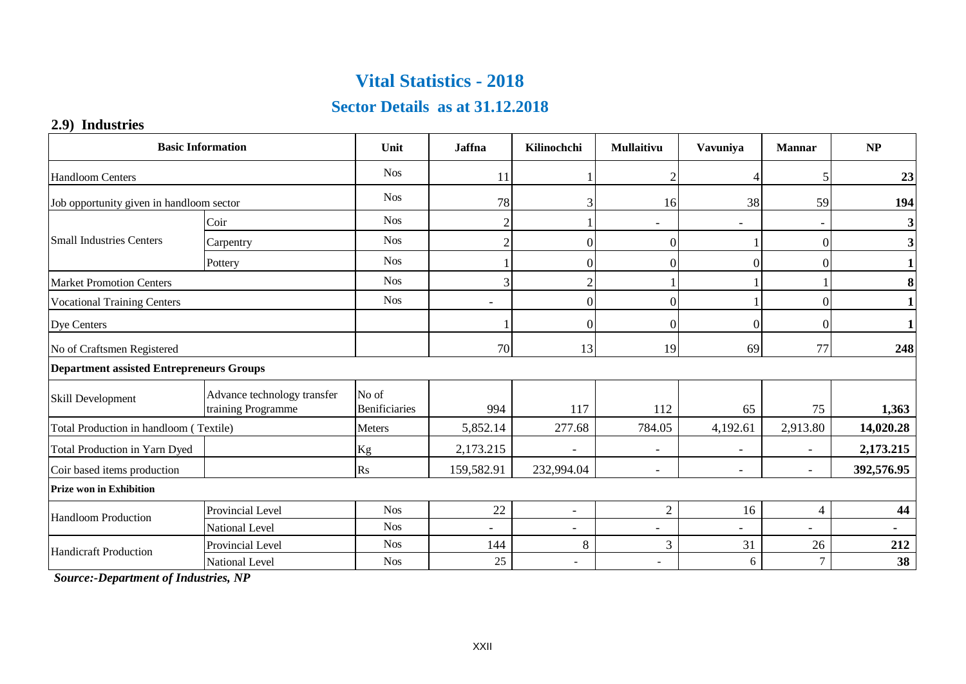### **Sector Details as at 31.12.2018**

#### **2.9) Industries**

|                                                 | <b>Basic Information</b>                          | Unit                   | <b>Jaffna</b>            | Kilinochchi              | <b>Mullaitivu</b>        | <b>Vavuniva</b>          | <b>Mannar</b>            | NP                      |
|-------------------------------------------------|---------------------------------------------------|------------------------|--------------------------|--------------------------|--------------------------|--------------------------|--------------------------|-------------------------|
| <b>Handloom Centers</b>                         |                                                   | <b>Nos</b>             | 11                       |                          |                          |                          | 5                        | 23                      |
| Job opportunity given in handloom sector        |                                                   | <b>Nos</b>             | 78                       | 3                        | 16                       | 38                       | 59                       | 194                     |
|                                                 | Coir                                              | <b>Nos</b>             | $\overline{c}$           |                          | $\overline{\phantom{a}}$ | $\overline{\phantom{0}}$ | $\overline{\phantom{a}}$ | $\overline{\mathbf{3}}$ |
| <b>Small Industries Centers</b>                 | Carpentry                                         | <b>Nos</b>             | $\overline{2}$           | $\Omega$                 | $\Omega$                 |                          | $\Omega$                 | 3 <sup>1</sup>          |
|                                                 | Pottery                                           | <b>Nos</b>             |                          | $\theta$                 | $\Omega$                 | 0                        | 0                        | $\mathbf{1}$            |
| <b>Market Promotion Centers</b>                 |                                                   | <b>Nos</b>             | 3                        | $\mathfrak{D}$           |                          |                          |                          | 8                       |
| <b>Vocational Training Centers</b>              |                                                   | <b>Nos</b>             | $\overline{\phantom{a}}$ | $\theta$                 | $\Omega$                 |                          | $\Omega$                 | $\mathbf{1}$            |
| Dye Centers                                     |                                                   |                        |                          | $\theta$                 | $\Omega$                 | 0                        | $\Omega$                 | $\mathbf{1}$            |
| No of Craftsmen Registered                      |                                                   |                        | 70                       | 13                       | 19                       | 69                       | 77                       | 248                     |
| <b>Department assisted Entrepreneurs Groups</b> |                                                   |                        |                          |                          |                          |                          |                          |                         |
| Skill Development                               | Advance technology transfer<br>training Programme | No of<br>Benificiaries | 994                      | 117                      | 112                      | 65                       | 75                       | 1,363                   |
| Total Production in handloom (Textile)          |                                                   | Meters                 | 5,852.14                 | 277.68                   | 784.05                   | 4,192.61                 | 2,913.80                 | 14,020.28               |
| Total Production in Yarn Dyed                   |                                                   | Kg                     | 2,173.215                |                          |                          |                          |                          | 2,173.215               |
| Coir based items production                     |                                                   | R <sub>S</sub>         | 159,582.91               | 232,994.04               | $\overline{\phantom{a}}$ | ٠                        | $\overline{\phantom{a}}$ | 392,576.95              |
| <b>Prize won in Exhibition</b>                  |                                                   |                        |                          |                          |                          |                          |                          |                         |
| <b>Handloom Production</b>                      | Provincial Level                                  | <b>Nos</b>             | 22                       | $\overline{\phantom{a}}$ | $\overline{2}$           | 16                       | $\overline{4}$           | 44                      |
|                                                 | National Level                                    | <b>Nos</b>             | ٠                        |                          | $\overline{\phantom{a}}$ |                          | $\overline{\phantom{a}}$ |                         |
| <b>Handicraft Production</b>                    | Provincial Level                                  | <b>Nos</b>             | 144                      | 8                        | 3                        | 31                       | 26                       | 212                     |
|                                                 | National Level                                    | <b>Nos</b>             | 25                       | $\sim$                   | ٠                        | 6                        | $\overline{7}$           | 38                      |

 *Source:-Department of Industries, NP*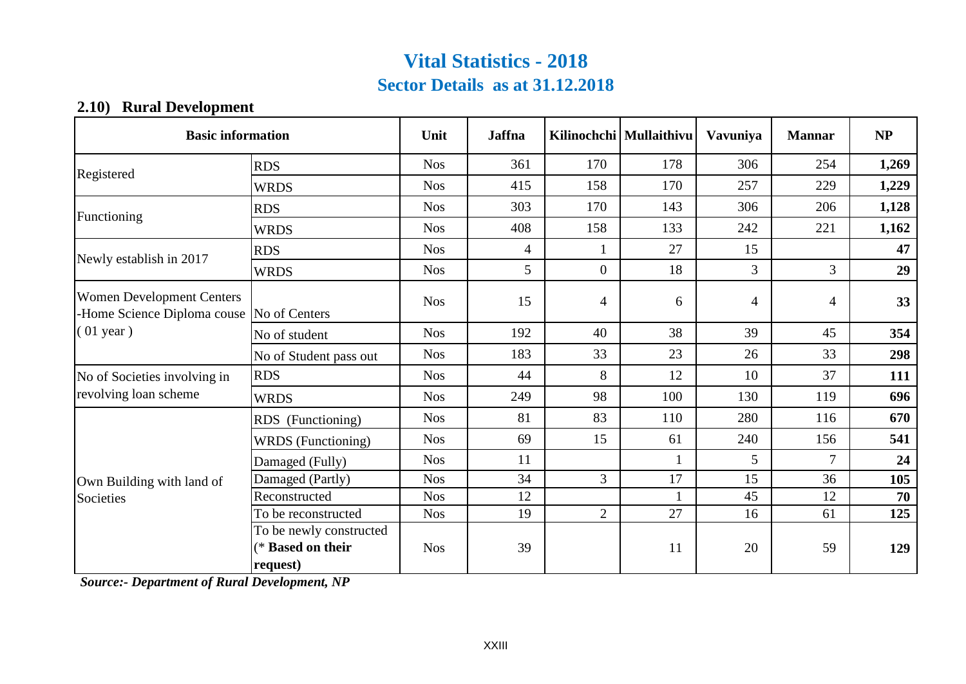### **Sector Details as at 31.12.2018 Vital Statistics - 2018**

#### **2.10) Rural Development**

| <b>Basic information</b>                                                        |                                                          | Unit       | <b>Jaffna</b>  |                | Kilinochchi   Mullaithivu | Vavuniya | <b>Mannar</b> | NP    |
|---------------------------------------------------------------------------------|----------------------------------------------------------|------------|----------------|----------------|---------------------------|----------|---------------|-------|
| Registered                                                                      | <b>RDS</b>                                               | <b>Nos</b> | 361            | 170            | 178                       | 306      | 254           | 1,269 |
|                                                                                 | <b>WRDS</b>                                              | <b>Nos</b> | 415            | 158            | 170                       | 257      | 229           | 1,229 |
| Functioning                                                                     | <b>RDS</b>                                               | <b>Nos</b> | 303            | 170            | 143                       | 306      | 206           | 1,128 |
|                                                                                 | <b>WRDS</b>                                              | <b>Nos</b> | 408            | 158            | 133                       | 242      | 221           | 1,162 |
| Newly establish in 2017                                                         | <b>RDS</b>                                               | <b>Nos</b> | $\overline{4}$ |                | 27                        | 15       |               | 47    |
|                                                                                 | <b>WRDS</b>                                              | <b>Nos</b> | 5              | $\overline{0}$ | 18                        | 3        | 3             | 29    |
| <b>Women Development Centers</b><br>-Home Science Diploma couse   No of Centers |                                                          | <b>Nos</b> | 15             | $\overline{4}$ | 6                         | 4        | 4             | 33    |
| $(01$ year)                                                                     | No of student                                            | <b>Nos</b> | 192            | 40             | 38                        | 39       | 45            | 354   |
|                                                                                 | No of Student pass out                                   | <b>Nos</b> | 183            | 33             | 23                        | 26       | 33            | 298   |
| No of Societies involving in                                                    | <b>RDS</b>                                               | <b>Nos</b> | 44             | 8              | 12                        | 10       | 37            | 111   |
| revolving loan scheme                                                           | <b>WRDS</b>                                              | <b>Nos</b> | 249            | 98             | 100                       | 130      | 119           | 696   |
|                                                                                 | RDS (Functioning)                                        | <b>Nos</b> | 81             | 83             | 110                       | 280      | 116           | 670   |
|                                                                                 | WRDS (Functioning)                                       | <b>Nos</b> | 69             | 15             | 61                        | 240      | 156           | 541   |
|                                                                                 | Damaged (Fully)                                          | <b>Nos</b> | 11             |                |                           | 5        | 7             | 24    |
| Own Building with land of                                                       | Damaged (Partly)                                         | <b>Nos</b> | 34             | 3              | 17                        | 15       | 36            | 105   |
| Societies                                                                       | Reconstructed                                            | <b>Nos</b> | 12             |                |                           | 45       | 12            | 70    |
|                                                                                 | To be reconstructed                                      | <b>Nos</b> | 19             | $\overline{2}$ | 27                        | 16       | 61            | 125   |
|                                                                                 | To be newly constructed<br>(* Based on their<br>request) | <b>Nos</b> | 39             |                | 11                        | 20       | 59            | 129   |

 *Source:- Department of Rural Development, NP*